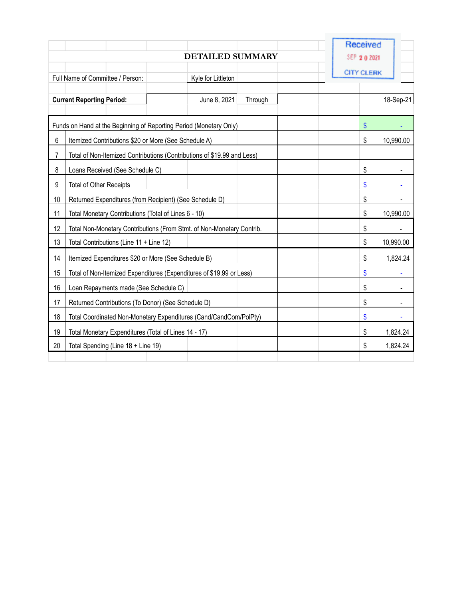|                                                                          |                                                                         |  |                    |         |  | <b>Received</b> |  |           |
|--------------------------------------------------------------------------|-------------------------------------------------------------------------|--|--------------------|---------|--|-----------------|--|-----------|
|                                                                          |                                                                         |  | SEP 2 0 2021       |         |  |                 |  |           |
|                                                                          |                                                                         |  | <b>CITY CLERK</b>  |         |  |                 |  |           |
|                                                                          | Full Name of Committee / Person:                                        |  | Kyle for Littleton |         |  |                 |  |           |
|                                                                          | <b>Current Reporting Period:</b>                                        |  | June 8, 2021       | Through |  |                 |  | 18-Sep-21 |
|                                                                          |                                                                         |  |                    |         |  |                 |  |           |
| \$<br>Funds on Hand at the Beginning of Reporting Period (Monetary Only) |                                                                         |  |                    |         |  |                 |  |           |
| 6                                                                        | Itemized Contributions \$20 or More (See Schedule A)                    |  |                    |         |  | \$              |  | 10,990.00 |
| 7                                                                        | Total of Non-Itemized Contributions (Contributions of \$19.99 and Less) |  |                    |         |  |                 |  |           |
| 8                                                                        | Loans Received (See Schedule C)                                         |  |                    |         |  | \$              |  |           |
| 9                                                                        | Total of Other Receipts                                                 |  |                    |         |  | \$              |  |           |
| 10                                                                       | Returned Expenditures (from Recipient) (See Schedule D)                 |  |                    |         |  | \$              |  |           |
| 11                                                                       | Total Monetary Contributions (Total of Lines 6 - 10)                    |  |                    |         |  | \$              |  | 10,990.00 |
| 12                                                                       | Total Non-Monetary Contributions (From Stmt. of Non-Monetary Contrib.   |  |                    |         |  | \$              |  |           |
| 13                                                                       | Total Contributions (Line 11 + Line 12)                                 |  |                    |         |  | \$              |  | 10,990.00 |
| 14                                                                       | Itemized Expenditures \$20 or More (See Schedule B)                     |  |                    |         |  | \$              |  | 1,824.24  |
| 15                                                                       | Total of Non-Itemized Expenditures (Expenditures of \$19.99 or Less)    |  |                    |         |  | \$              |  |           |
| 16                                                                       | Loan Repayments made (See Schedule C)                                   |  |                    |         |  | \$              |  |           |
| 17                                                                       | Returned Contributions (To Donor) (See Schedule D)                      |  |                    |         |  | \$              |  |           |
| 18                                                                       | Total Coordinated Non-Monetary Expenditures (Cand/CandCom/PolPty)       |  |                    |         |  | \$              |  |           |
| 19                                                                       | Total Monetary Expenditures (Total of Lines 14 - 17)                    |  |                    |         |  | \$              |  | 1,824.24  |
| 20                                                                       | Total Spending (Line 18 + Line 19)                                      |  |                    |         |  | \$              |  | 1,824.24  |
|                                                                          |                                                                         |  |                    |         |  |                 |  |           |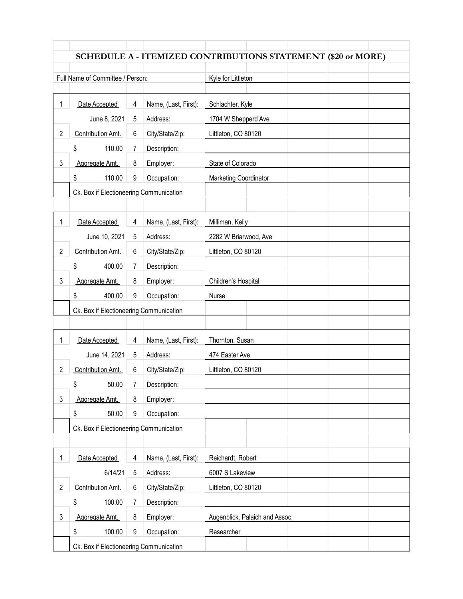|                |                                         |   |                      | SCHEDULE A - ITEMIZED CONTRIBUTIONS STATEMENT (\$20 or MORE) |
|----------------|-----------------------------------------|---|----------------------|--------------------------------------------------------------|
|                |                                         |   |                      |                                                              |
|                | Full Name of Committee / Person:        |   |                      | Kyle for Littleton                                           |
|                |                                         |   |                      |                                                              |
| 1              | Date Accepted                           | 4 | Name, (Last, First): | Schlachter, Kyle                                             |
|                | June 8, 2021                            | 5 | Address:             | 1704 W Shepperd Ave                                          |
| 2              | Contribution Amt.                       | 6 | City/State/Zip:      | Littleton, CO 80120                                          |
|                | \$<br>110.00                            | 7 | Description:         |                                                              |
| 3              | Aggregate Amt.                          | 8 | Employer:            | State of Colorado                                            |
|                | \$<br>110.00                            | 9 | Occupation:          | <b>Marketing Coordinator</b>                                 |
|                | Ck. Box if Electioneering Communication |   |                      |                                                              |
|                |                                         |   |                      |                                                              |
| 1              | Date Accepted                           | 4 | Name, (Last, First): | Milliman, Kelly                                              |
|                | June 10, 2021                           | 5 | Address:             | 2282 W Briarwood, Ave                                        |
| 2              | Contribution Amt.                       | 6 | City/State/Zip:      | Littleton, CO 80120                                          |
|                | \$<br>400.00                            | 7 | Description:         |                                                              |
| 3              | Aggregate Amt.                          | 8 | Employer:            | Children's Hospital                                          |
|                | \$<br>400.00                            | 9 | Occupation:          | Nurse                                                        |
|                |                                         |   |                      |                                                              |
|                | Ck. Box if Electioneering Communication |   |                      |                                                              |
|                |                                         |   |                      |                                                              |
| 1              | Date Accepted                           | 4 | Name, (Last, First): | Thornton, Susan                                              |
|                | June 14, 2021                           | 5 | Address:             | 474 Easter Ave                                               |
| 2              | Contribution Amt.                       | 6 | City/State/Zip:      | Littleton, CO 80120                                          |
|                | \$<br>50.00                             | 7 | Description:         |                                                              |
| 3              | Aggregate Amt.                          | 8 | Employer:            |                                                              |
|                | \$<br>50.00                             | 9 | Occupation:          |                                                              |
|                | Ck. Box if Electioneering Communication |   |                      |                                                              |
|                |                                         |   |                      |                                                              |
| 1              | Date Accepted                           | 4 | Name, (Last, First): | Reichardt, Robert                                            |
|                | 6/14/21                                 | 5 | Address:             | 6007 S Lakeview                                              |
| $\overline{c}$ | Contribution Amt.                       | 6 | City/State/Zip:      | Littleton, CO 80120                                          |
|                | 100.00<br>\$                            | 7 | Description:         |                                                              |
| 3              | Aggregate Amt.                          | 8 | Employer:            | Augenblick, Palaich and Assoc.                               |
|                | \$<br>100.00                            | 9 | Occupation:          | Researcher                                                   |
|                | Ck. Box if Electioneering Communication |   |                      |                                                              |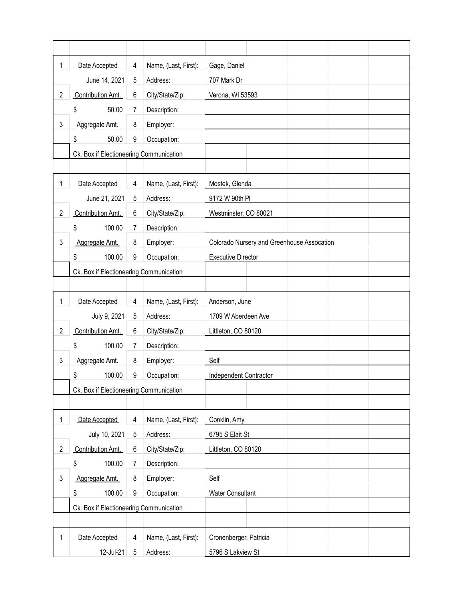| 1              | Date Accepted                           | 4 | Name, (Last, First): | Gage, Daniel                               |
|----------------|-----------------------------------------|---|----------------------|--------------------------------------------|
|                | June 14, 2021                           | 5 | Address:             | 707 Mark Dr                                |
| $\overline{2}$ | Contribution Amt.                       | 6 | City/State/Zip:      | Verona, WI 53593                           |
|                | \$<br>50.00                             | 7 | Description:         |                                            |
| 3              | Aggregate Amt.                          | 8 | Employer:            |                                            |
|                | \$<br>50.00                             | 9 | Occupation:          |                                            |
|                | Ck. Box if Electioneering Communication |   |                      |                                            |
|                |                                         |   |                      |                                            |
| 1              | Date Accepted                           | 4 | Name, (Last, First): | Mostek, Glenda                             |
|                | June 21, 2021                           | 5 | Address:             | 9172 W 90th PI                             |
| $\overline{2}$ | Contribution Amt.                       | 6 | City/State/Zip:      | Westminster, CO 80021                      |
|                | 100.00<br>\$                            | 7 | Description:         |                                            |
| 3              | Aggregate Amt.                          | 8 | Employer:            | Colorado Nursery and Greenhouse Assocation |
|                | 100.00<br>\$                            | 9 | Occupation:          | <b>Executive Director</b>                  |
|                | Ck. Box if Electioneering Communication |   |                      |                                            |
|                |                                         |   |                      |                                            |
| 1              | Date Accepted                           | 4 | Name, (Last, First): | Anderson, June                             |
|                | July 9, 2021                            | 5 | Address:             | 1709 W Aberdeen Ave                        |
| $\overline{2}$ | Contribution Amt.                       | 6 | City/State/Zip:      | Littleton, CO 80120                        |
|                | 100.00<br>\$                            | 7 | Description:         |                                            |
| 3              | Aggregate Amt.                          | 8 | Employer:            | Self                                       |
|                | \$<br>100.00                            | 9 | Occupation:          | Independent Contractor                     |
|                | Ck. Box if Electioneering Communication |   |                      |                                            |
|                |                                         |   |                      |                                            |
| 1              | Date Accepted                           | 4 | Name, (Last, First): | Conklin, Amy                               |
|                | July 10, 2021                           | 5 | Address:             | 6795 S Elait St                            |
| $\overline{2}$ | Contribution Amt.                       | 6 | City/State/Zip:      | Littleton, CO 80120                        |
|                | 100.00<br>\$                            | 7 | Description:         |                                            |
| 3              | Aggregate Amt.                          | 8 | Employer:            | Self                                       |
|                | \$<br>100.00                            | 9 | Occupation:          | <b>Water Consultant</b>                    |
|                | Ck. Box if Electioneering Communication |   |                      |                                            |
|                |                                         |   |                      |                                            |
| 1              | Date Accepted                           | 4 | Name, (Last, First): | Cronenberger, Patricia                     |
|                | 12-Jul-21                               | 5 | Address:             | 5796 S Lakview St                          |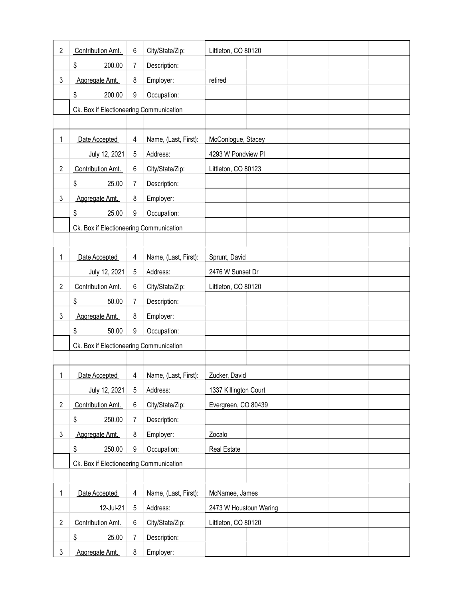| $\overline{2}$ | Contribution Amt.                       | 6 | City/State/Zip:      | Littleton, CO 80120    |
|----------------|-----------------------------------------|---|----------------------|------------------------|
|                | \$<br>200.00                            | 7 | Description:         |                        |
| 3              | Aggregate Amt.                          | 8 | Employer:            | retired                |
|                | \$<br>200.00                            | 9 | Occupation:          |                        |
|                | Ck. Box if Electioneering Communication |   |                      |                        |
|                |                                         |   |                      |                        |
| 1              | Date Accepted                           | 4 | Name, (Last, First): | McConlogue, Stacey     |
|                | July 12, 2021                           | 5 | Address:             | 4293 W Pondview Pl     |
| $\overline{c}$ | Contribution Amt.                       | 6 | City/State/Zip:      | Littleton, CO 80123    |
|                | \$<br>25.00                             | 7 | Description:         |                        |
| 3              | Aggregate Amt.                          | 8 | Employer:            |                        |
|                | \$<br>25.00                             | 9 | Occupation:          |                        |
|                | Ck. Box if Electioneering Communication |   |                      |                        |
|                |                                         |   |                      |                        |
| 1              | Date Accepted                           | 4 | Name, (Last, First): | Sprunt, David          |
|                | July 12, 2021                           | 5 | Address:             | 2476 W Sunset Dr       |
| $\overline{c}$ | Contribution Amt.                       | 6 | City/State/Zip:      | Littleton, CO 80120    |
|                | \$<br>50.00                             | 7 | Description:         |                        |
| 3              | Aggregate Amt.                          | 8 | Employer:            |                        |
|                | \$<br>50.00                             | 9 | Occupation:          |                        |
|                | Ck. Box if Electioneering Communication |   |                      |                        |
|                |                                         |   |                      |                        |
| 1              | Date Accepted                           | 4 | Name, (Last, First): | Zucker, David          |
|                | July 12, 2021                           | 5 | Address:             | 1337 Killington Court  |
| $\overline{c}$ | Contribution Amt.                       | 6 | City/State/Zip:      | Evergreen, CO 80439    |
|                | 250.00<br>\$                            | 7 | Description:         |                        |
| 3              | Aggregate Amt.                          | 8 | Employer:            | Zocalo                 |
|                | \$<br>250.00                            | 9 | Occupation:          | Real Estate            |
|                | Ck. Box if Electioneering Communication |   |                      |                        |
|                |                                         |   |                      |                        |
| 1              | Date Accepted                           | 4 | Name, (Last, First): | McNamee, James         |
|                | 12-Jul-21                               | 5 | Address:             | 2473 W Houstoun Waring |
| $\overline{2}$ | Contribution Amt.                       | 6 | City/State/Zip:      | Littleton, CO 80120    |
|                | \$<br>25.00                             | 7 | Description:         |                        |
| 3              | Aggregate Amt.                          | 8 | Employer:            |                        |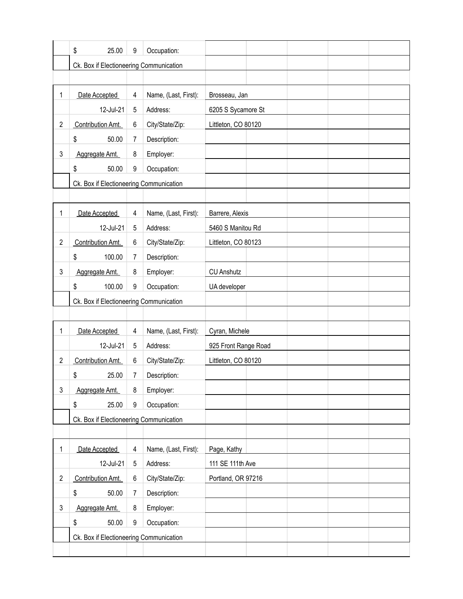|                | \$<br>25.00                             | 9              | Occupation:          |                      |  |  |
|----------------|-----------------------------------------|----------------|----------------------|----------------------|--|--|
|                | Ck. Box if Electioneering Communication |                |                      |                      |  |  |
|                |                                         |                |                      |                      |  |  |
| 1              | Date Accepted                           | 4              | Name, (Last, First): | Brosseau, Jan        |  |  |
|                | 12-Jul-21                               | 5              | Address:             | 6205 S Sycamore St   |  |  |
| $\overline{2}$ | Contribution Amt.                       | 6              | City/State/Zip:      | Littleton, CO 80120  |  |  |
|                | \$<br>50.00                             | 7              | Description:         |                      |  |  |
| 3              | Aggregate Amt.                          | 8              | Employer:            |                      |  |  |
|                | \$<br>50.00                             | 9              | Occupation:          |                      |  |  |
|                | Ck. Box if Electioneering Communication |                |                      |                      |  |  |
|                |                                         |                |                      |                      |  |  |
| 1              | Date Accepted                           | 4              | Name, (Last, First): | Barrere, Alexis      |  |  |
|                | 12-Jul-21                               | 5              | Address:             | 5460 S Manitou Rd    |  |  |
| $\overline{2}$ | Contribution Amt.                       | 6              | City/State/Zip:      | Littleton, CO 80123  |  |  |
|                | \$<br>100.00                            | 7              | Description:         |                      |  |  |
| 3              | Aggregate Amt.                          | 8              | Employer:            | <b>CU Anshutz</b>    |  |  |
|                | \$<br>100.00                            | 9              | Occupation:          | UA developer         |  |  |
|                | Ck. Box if Electioneering Communication |                |                      |                      |  |  |
|                |                                         |                |                      |                      |  |  |
| 1              | Date Accepted                           | 4              | Name, (Last, First): | Cyran, Michele       |  |  |
|                | 12-Jul-21                               | 5              | Address:             | 925 Front Range Road |  |  |
| $\overline{2}$ | Contribution Amt.                       | 6              | City/State/Zip:      | Littleton, CO 80120  |  |  |
|                | \$<br>25.00                             | 7              | Description:         |                      |  |  |
| 3              | Aggregate Amt.                          | 8              | Employer:            |                      |  |  |
|                | \$<br>25.00                             | 9              | Occupation:          |                      |  |  |
|                | Ck. Box if Electioneering Communication |                |                      |                      |  |  |
|                |                                         |                |                      |                      |  |  |
| 1              | Date Accepted                           | 4              | Name, (Last, First): | Page, Kathy          |  |  |
|                | 12-Jul-21                               | 5              | Address:             | 111 SE 111th Ave     |  |  |
| $\overline{c}$ | Contribution Amt.                       | 6              | City/State/Zip:      | Portland, OR 97216   |  |  |
|                | \$<br>50.00                             | $\overline{7}$ | Description:         |                      |  |  |
| 3              | Aggregate Amt.                          | 8              | Employer:            |                      |  |  |
|                | \$<br>50.00                             | 9              | Occupation:          |                      |  |  |
|                | Ck. Box if Electioneering Communication |                |                      |                      |  |  |
|                |                                         |                |                      |                      |  |  |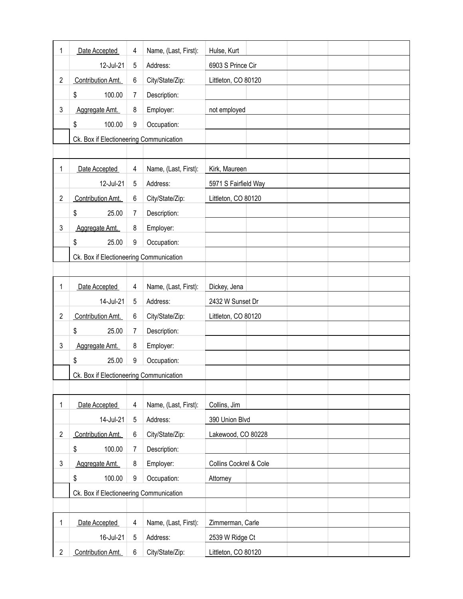| 1              | Date Accepted                           | 4 | Name, (Last, First): | Hulse, Kurt            |
|----------------|-----------------------------------------|---|----------------------|------------------------|
|                | 12-Jul-21                               | 5 | Address:             | 6903 S Prince Cir      |
| $\overline{2}$ | Contribution Amt.                       | 6 | City/State/Zip:      | Littleton, CO 80120    |
|                | \$<br>100.00                            | 7 | Description:         |                        |
| 3              | Aggregate Amt.                          | 8 | Employer:            | not employed           |
|                | \$<br>100.00                            | 9 | Occupation:          |                        |
|                | Ck. Box if Electioneering Communication |   |                      |                        |
|                |                                         |   |                      |                        |
| 1              | Date Accepted                           | 4 | Name, (Last, First): | Kirk, Maureen          |
|                | 12-Jul-21                               | 5 | Address:             | 5971 S Fairfield Way   |
| $\overline{2}$ | Contribution Amt.                       | 6 | City/State/Zip:      | Littleton, CO 80120    |
|                | \$<br>25.00                             | 7 | Description:         |                        |
| 3              | Aggregate Amt.                          | 8 | Employer:            |                        |
|                | \$<br>25.00                             | 9 | Occupation:          |                        |
|                | Ck. Box if Electioneering Communication |   |                      |                        |
|                |                                         |   |                      |                        |
| 1              | Date Accepted                           | 4 | Name, (Last, First): | Dickey, Jena           |
|                | 14-Jul-21                               | 5 | Address:             | 2432 W Sunset Dr       |
| $\overline{2}$ | Contribution Amt.                       | 6 | City/State/Zip:      | Littleton, CO 80120    |
|                | \$<br>25.00                             | 7 | Description:         |                        |
| 3              | Aggregate Amt.                          | 8 | Employer:            |                        |
|                | \$<br>25.00                             | 9 | Occupation:          |                        |
|                | Ck. Box if Electioneering Communication |   |                      |                        |
|                |                                         |   |                      |                        |
| 1              | Date Accepted                           | 4 | Name, (Last, First): | Collins, Jim           |
|                | 14-Jul-21                               | 5 | Address:             | 390 Union Blvd         |
| $\overline{2}$ | Contribution Amt.                       | 6 | City/State/Zip:      | Lakewood, CO 80228     |
|                | \$<br>100.00                            | 7 | Description:         |                        |
| 3              | Aggregate Amt.                          | 8 | Employer:            | Collins Cockrel & Cole |
|                | \$<br>100.00                            | 9 | Occupation:          | Attorney               |
|                | Ck. Box if Electioneering Communication |   |                      |                        |
|                |                                         |   |                      |                        |
| 1              | Date Accepted                           | 4 | Name, (Last, First): | Zimmerman, Carle       |
|                | 16-Jul-21                               | 5 | Address:             | 2539 W Ridge Ct        |
| $\overline{2}$ | Contribution Amt.                       | 6 | City/State/Zip:      | Littleton, CO 80120    |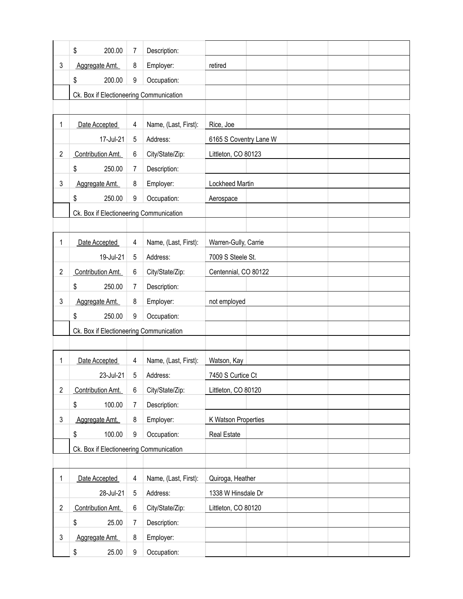|                | \$<br>200.00                            | 7 | Description:         |                        |  |  |
|----------------|-----------------------------------------|---|----------------------|------------------------|--|--|
| 3              | Aggregate Amt.                          | 8 | Employer:            | retired                |  |  |
|                | \$<br>200.00                            | 9 | Occupation:          |                        |  |  |
|                | Ck. Box if Electioneering Communication |   |                      |                        |  |  |
|                |                                         |   |                      |                        |  |  |
| 1              | Date Accepted                           | 4 | Name, (Last, First): | Rice, Joe              |  |  |
|                | 17-Jul-21                               | 5 | Address:             | 6165 S Coventry Lane W |  |  |
| $\overline{2}$ | Contribution Amt.                       | 6 | City/State/Zip:      | Littleton, CO 80123    |  |  |
|                | \$<br>250.00                            | 7 | Description:         |                        |  |  |
| 3              | Aggregate Amt.                          | 8 | Employer:            | Lockheed Martin        |  |  |
|                | \$<br>250.00                            | 9 | Occupation:          | Aerospace              |  |  |
|                | Ck. Box if Electioneering Communication |   |                      |                        |  |  |
|                |                                         |   |                      |                        |  |  |
| 1              | Date Accepted                           | 4 | Name, (Last, First): | Warren-Gully, Carrie   |  |  |
|                | 19-Jul-21                               | 5 | Address:             | 7009 S Steele St.      |  |  |
| $\overline{2}$ | Contribution Amt.                       | 6 | City/State/Zip:      | Centennial, CO 80122   |  |  |
|                | \$<br>250.00                            | 7 | Description:         |                        |  |  |
| 3              | Aggregate Amt.                          | 8 | Employer:            | not employed           |  |  |
|                | \$<br>250.00                            | 9 | Occupation:          |                        |  |  |
|                | Ck. Box if Electioneering Communication |   |                      |                        |  |  |
|                |                                         |   |                      |                        |  |  |
| 1              | Date Accepted                           | 4 | Name, (Last, First): | Watson, Kay            |  |  |
|                | 23-Jul-21                               | 5 | Address:             | 7450 S Curtice Ct      |  |  |
| $\overline{c}$ | Contribution Amt.                       | 6 | City/State/Zip:      | Littleton, CO 80120    |  |  |
|                | \$<br>100.00                            | 7 | Description:         |                        |  |  |
| 3              | Aggregate Amt.                          | 8 | Employer:            | K Watson Properties    |  |  |
|                | \$<br>100.00                            | 9 | Occupation:          | Real Estate            |  |  |
|                | Ck. Box if Electioneering Communication |   |                      |                        |  |  |
|                |                                         |   |                      |                        |  |  |
| 1              | Date Accepted                           | 4 | Name, (Last, First): | Quiroga, Heather       |  |  |
|                | 28-Jul-21                               | 5 | Address:             | 1338 W Hinsdale Dr     |  |  |
| $\overline{c}$ | Contribution Amt.                       | 6 | City/State/Zip:      | Littleton, CO 80120    |  |  |
|                | \$<br>25.00                             | 7 | Description:         |                        |  |  |
| 3              | Aggregate Amt.                          | 8 | Employer:            |                        |  |  |
|                | \$<br>25.00                             | 9 | Occupation:          |                        |  |  |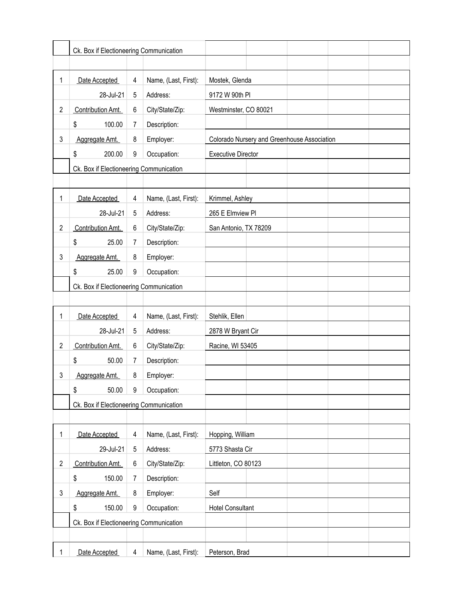|                | Ck. Box if Electioneering Communication |   |                      |                                             |
|----------------|-----------------------------------------|---|----------------------|---------------------------------------------|
|                |                                         |   |                      |                                             |
| 1              | Date Accepted                           | 4 | Name, (Last, First): | Mostek, Glenda                              |
|                | 28-Jul-21                               | 5 | Address:             | 9172 W 90th PI                              |
| $\overline{c}$ | Contribution Amt.                       | 6 | City/State/Zip:      | Westminster, CO 80021                       |
|                | \$<br>100.00                            | 7 | Description:         |                                             |
| 3              | Aggregate Amt.                          | 8 | Employer:            | Colorado Nursery and Greenhouse Association |
|                | \$<br>200.00                            | 9 | Occupation:          | <b>Executive Director</b>                   |
|                | Ck. Box if Electioneering Communication |   |                      |                                             |
|                |                                         |   |                      |                                             |
| 1              | Date Accepted                           | 4 | Name, (Last, First): | Krimmel, Ashley                             |
|                | 28-Jul-21                               | 5 | Address:             | 265 E Elmview Pl                            |
| $\overline{c}$ | Contribution Amt.                       | 6 | City/State/Zip:      | San Antonio, TX 78209                       |
|                | \$<br>25.00                             | 7 | Description:         |                                             |
| 3              | Aggregate Amt.                          | 8 | Employer:            |                                             |
|                | \$<br>25.00                             | 9 | Occupation:          |                                             |
|                | Ck. Box if Electioneering Communication |   |                      |                                             |
|                |                                         |   |                      |                                             |
| 1              | Date Accepted                           | 4 | Name, (Last, First): | Stehlik, Ellen                              |
|                | 28-Jul-21                               | 5 | Address:             | 2878 W Bryant Cir                           |
| $\overline{c}$ | Contribution Amt.                       | 6 | City/State/Zip:      | Racine, WI 53405                            |
|                | \$<br>50.00                             | 7 | Description:         |                                             |
| 3              | Aggregate Amt.                          | 8 | Employer:            |                                             |
|                | \$<br>50.00                             | 9 | Occupation:          |                                             |
|                | Ck. Box if Electioneering Communication |   |                      |                                             |
|                |                                         |   |                      |                                             |
| 1              | Date Accepted                           | 4 | Name, (Last, First): | Hopping, William                            |
|                | 29-Jul-21                               | 5 | Address:             | 5773 Shasta Cir                             |
| $\overline{c}$ | Contribution Amt.                       | 6 | City/State/Zip:      | Littleton, CO 80123                         |
|                | \$<br>150.00                            | 7 | Description:         |                                             |
| 3              | Aggregate Amt.                          | 8 | Employer:            | Self                                        |
|                | \$<br>150.00                            | 9 | Occupation:          | <b>Hotel Consultant</b>                     |
|                | Ck. Box if Electioneering Communication |   |                      |                                             |
|                |                                         |   |                      |                                             |
| 1              | Date Accepted                           | 4 | Name, (Last, First): | Peterson, Brad                              |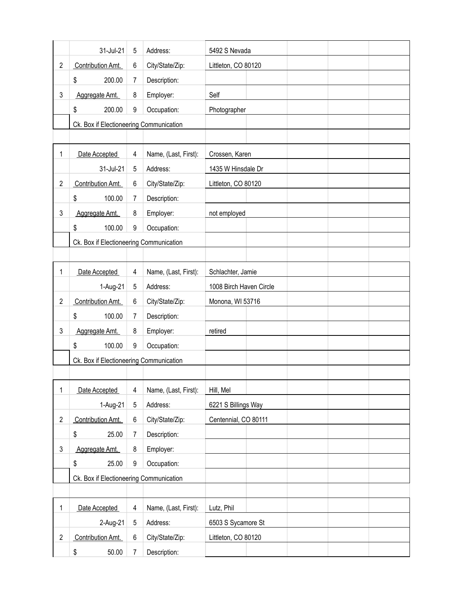|                | 31-Jul-21                               | 5 | Address:             | 5492 S Nevada           |
|----------------|-----------------------------------------|---|----------------------|-------------------------|
| $\overline{2}$ | Contribution Amt.                       | 6 | City/State/Zip:      | Littleton, CO 80120     |
|                | \$<br>200.00                            | 7 | Description:         |                         |
| 3              | Aggregate Amt.                          | 8 | Employer:            | Self                    |
|                | \$<br>200.00                            | 9 | Occupation:          | Photographer            |
|                | Ck. Box if Electioneering Communication |   |                      |                         |
|                |                                         |   |                      |                         |
| 1              | Date Accepted                           | 4 | Name, (Last, First): | Crossen, Karen          |
|                | 31-Jul-21                               | 5 | Address:             | 1435 W Hinsdale Dr      |
| $\overline{2}$ | Contribution Amt.                       | 6 | City/State/Zip:      | Littleton, CO 80120     |
|                | \$<br>100.00                            | 7 | Description:         |                         |
| 3              | Aggregate Amt.                          | 8 | Employer:            | not employed            |
|                | \$<br>100.00                            | 9 | Occupation:          |                         |
|                | Ck. Box if Electioneering Communication |   |                      |                         |
|                |                                         |   |                      |                         |
| 1              | Date Accepted                           | 4 | Name, (Last, First): | Schlachter, Jamie       |
|                | 1-Aug-21                                | 5 | Address:             | 1008 Birch Haven Circle |
| $\overline{2}$ | Contribution Amt.                       | 6 | City/State/Zip:      | Monona, WI 53716        |
|                | \$<br>100.00                            | 7 | Description:         |                         |
| 3              | Aggregate Amt.                          | 8 | Employer:            | retired                 |
|                | \$<br>100.00                            | 9 | Occupation:          |                         |
|                | Ck. Box if Electioneering Communication |   |                      |                         |
|                |                                         |   |                      |                         |
| 1              | Date Accepted                           | 4 | Name, (Last, First): | Hill, Mel               |
|                | 1-Aug-21                                | 5 | Address:             | 6221 S Billings Way     |
| $\overline{2}$ | Contribution Amt.                       | 6 | City/State/Zip:      | Centennial, CO 80111    |
|                | \$<br>25.00                             | 7 | Description:         |                         |
| 3              | Aggregate Amt.                          | 8 | Employer:            |                         |
|                | \$<br>25.00                             | 9 | Occupation:          |                         |
|                | Ck. Box if Electioneering Communication |   |                      |                         |
|                |                                         |   |                      |                         |
| 1              | Date Accepted                           | 4 | Name, (Last, First): | Lutz, Phil              |
|                | 2-Aug-21                                | 5 | Address:             | 6503 S Sycamore St      |
| $\overline{2}$ | Contribution Amt.                       | 6 | City/State/Zip:      | Littleton, CO 80120     |
|                | \$<br>50.00                             | 7 | Description:         |                         |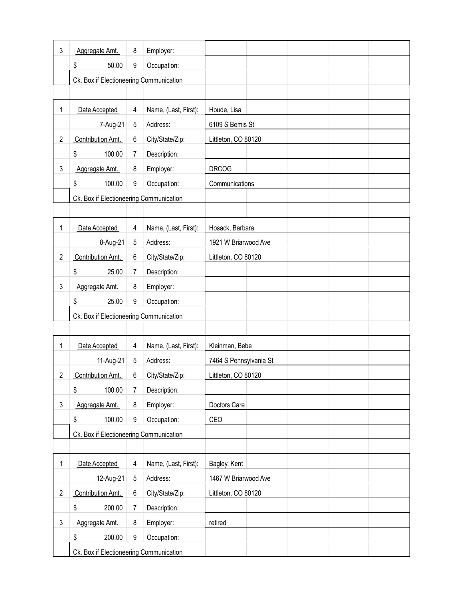| 3              | Aggregate Amt.                          | 8 | Employer:            |                        |
|----------------|-----------------------------------------|---|----------------------|------------------------|
|                | \$<br>50.00                             | 9 | Occupation:          |                        |
|                | Ck. Box if Electioneering Communication |   |                      |                        |
|                |                                         |   |                      |                        |
| 1              | Date Accepted                           | 4 | Name, (Last, First): | Houde, Lisa            |
|                | 7-Aug-21                                | 5 | Address:             | 6109 S Bemis St        |
| $\overline{2}$ | Contribution Amt.                       | 6 | City/State/Zip:      | Littleton, CO 80120    |
|                | \$<br>100.00                            | 7 | Description:         |                        |
| 3              | Aggregate Amt.                          | 8 | Employer:            | <b>DRCOG</b>           |
|                | \$<br>100.00                            | 9 | Occupation:          | Communications         |
|                | Ck. Box if Electioneering Communication |   |                      |                        |
|                |                                         |   |                      |                        |
| 1              | Date Accepted                           | 4 | Name, (Last, First): | Hosack, Barbara        |
|                | 8-Aug-21                                | 5 | Address:             | 1921 W Briarwood Ave   |
| $\overline{2}$ | Contribution Amt.                       | 6 | City/State/Zip:      | Littleton, CO 80120    |
|                | \$<br>25.00                             | 7 | Description:         |                        |
| 3              | Aggregate Amt.                          | 8 | Employer:            |                        |
|                | \$<br>25.00                             | 9 | Occupation:          |                        |
|                | Ck. Box if Electioneering Communication |   |                      |                        |
|                |                                         |   |                      |                        |
| 1              | Date Accepted                           | 4 | Name, (Last, First): | Kleinman, Bebe         |
|                | 11-Aug-21                               | 5 | Address:             | 7464 S Pennsylvania St |
| 2              | Contribution Amt.                       | 6 | City/State/Zip:      | Littleton, CO 80120    |
|                | \$<br>100.00                            | 7 | Description:         |                        |
| 3              | Aggregate Amt.                          | 8 | Employer:            | Doctors Care           |
|                | \$<br>100.00                            | 9 | Occupation:          | CEO                    |
|                | Ck. Box if Electioneering Communication |   |                      |                        |
|                |                                         |   |                      |                        |
| 1              | Date Accepted                           | 4 | Name, (Last, First): | Bagley, Kent           |
|                | 12-Aug-21                               | 5 | Address:             | 1467 W Briarwood Ave   |
| $\overline{2}$ | Contribution Amt.                       | 6 | City/State/Zip:      | Littleton, CO 80120    |
|                | \$<br>200.00                            | 7 | Description:         |                        |
| 3              | Aggregate Amt.                          | 8 | Employer:            | retired                |
|                | \$<br>200.00                            | 9 | Occupation:          |                        |
|                | Ck. Box if Electioneering Communication |   |                      |                        |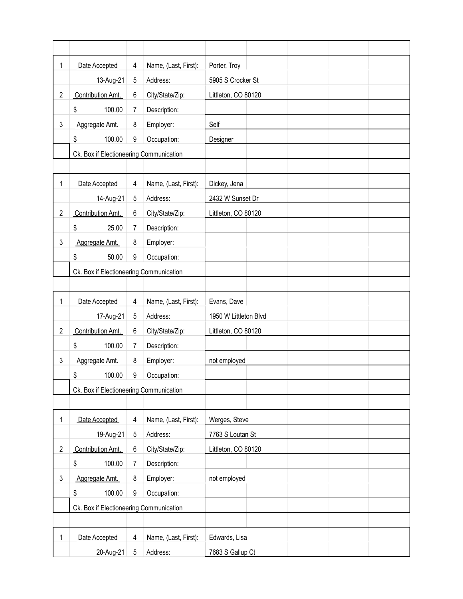| 1              | Date Accepted                           | 4 | Name, (Last, First): | Porter, Troy          |
|----------------|-----------------------------------------|---|----------------------|-----------------------|
|                | 13-Aug-21                               | 5 | Address:             | 5905 S Crocker St     |
| $\overline{2}$ | Contribution Amt.                       | 6 | City/State/Zip:      | Littleton, CO 80120   |
|                | \$<br>100.00                            | 7 | Description:         |                       |
| 3              | Aggregate Amt.                          | 8 | Employer:            | Self                  |
|                | 100.00<br>\$                            | 9 | Occupation:          | Designer              |
|                | Ck. Box if Electioneering Communication |   |                      |                       |
|                |                                         |   |                      |                       |
| 1              | Date Accepted                           | 4 | Name, (Last, First): | Dickey, Jena          |
|                | 14-Aug-21                               | 5 | Address:             | 2432 W Sunset Dr      |
| $\overline{2}$ | Contribution Amt.                       | 6 | City/State/Zip:      | Littleton, CO 80120   |
|                | \$<br>25.00                             | 7 | Description:         |                       |
| 3              | Aggregate Amt.                          | 8 | Employer:            |                       |
|                | 50.00<br>\$                             | 9 | Occupation:          |                       |
|                | Ck. Box if Electioneering Communication |   |                      |                       |
|                |                                         |   |                      |                       |
| 1              | Date Accepted                           | 4 | Name, (Last, First): | Evans, Dave           |
|                | 17-Aug-21                               | 5 | Address:             | 1950 W Littleton Blvd |
| $\overline{2}$ | Contribution Amt.                       | 6 | City/State/Zip:      | Littleton, CO 80120   |
|                | \$<br>100.00                            | 7 | Description:         |                       |
| 3              | Aggregate Amt.                          | 8 | Employer:            | not employed          |
|                | \$<br>100.00                            | 9 | Occupation:          |                       |
|                | Ck. Box if Electioneering Communication |   |                      |                       |
|                |                                         |   |                      |                       |
| 1              | Date Accepted                           | 4 | Name, (Last, First): | Werges, Steve         |
|                | 19-Aug-21                               | 5 | Address:             | 7763 S Loutan St      |
| $\overline{c}$ | Contribution Amt.                       | 6 | City/State/Zip:      | Littleton, CO 80120   |
|                | \$<br>100.00                            | 7 | Description:         |                       |
| 3              | Aggregate Amt.                          | 8 | Employer:            | not employed          |
|                | 100.00<br>\$                            | 9 | Occupation:          |                       |
|                | Ck. Box if Electioneering Communication |   |                      |                       |
|                |                                         |   |                      |                       |
| 1              | Date Accepted                           | 4 | Name, (Last, First): | Edwards, Lisa         |
|                | 20-Aug-21                               | 5 | Address:             | 7683 S Gallup Ct      |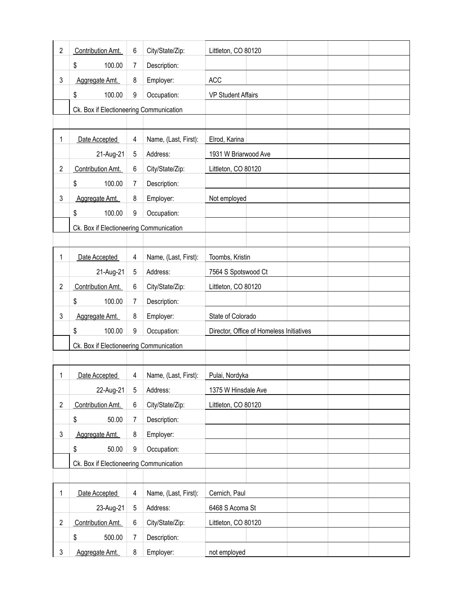| $\overline{2}$ | Contribution Amt.                       | 6 | City/State/Zip:      | Littleton, CO 80120                      |
|----------------|-----------------------------------------|---|----------------------|------------------------------------------|
|                | \$<br>100.00                            | 7 | Description:         |                                          |
| 3              | Aggregate Amt.                          | 8 | Employer:            | <b>ACC</b>                               |
|                | 100.00<br>\$                            | 9 | Occupation:          | <b>VP Student Affairs</b>                |
|                | Ck. Box if Electioneering Communication |   |                      |                                          |
|                |                                         |   |                      |                                          |
| 1              | Date Accepted                           | 4 | Name, (Last, First): | Elrod, Karina                            |
|                | 21-Aug-21                               | 5 | Address:             | 1931 W Briarwood Ave                     |
| $\overline{2}$ | Contribution Amt.                       | 6 | City/State/Zip:      | Littleton, CO 80120                      |
|                | \$<br>100.00                            | 7 | Description:         |                                          |
| 3              | Aggregate Amt.                          | 8 | Employer:            | Not employed                             |
|                | \$<br>100.00                            | 9 | Occupation:          |                                          |
|                | Ck. Box if Electioneering Communication |   |                      |                                          |
|                |                                         |   |                      |                                          |
| 1              | Date Accepted                           | 4 | Name, (Last, First): | Toombs, Kristin                          |
|                | 21-Aug-21                               | 5 | Address:             | 7564 S Spotswood Ct                      |
| $\overline{c}$ | Contribution Amt.                       | 6 | City/State/Zip:      | Littleton, CO 80120                      |
|                | \$<br>100.00                            | 7 | Description:         |                                          |
| 3              | Aggregate Amt.                          | 8 | Employer:            | State of Colorado                        |
|                | \$<br>100.00                            | 9 | Occupation:          | Director, Office of Homeless Initiatives |
|                | Ck. Box if Electioneering Communication |   |                      |                                          |
|                |                                         |   |                      |                                          |
| 1              | Date Accepted                           | 4 | Name, (Last, First): | Pulai, Nordyka                           |
|                | 22-Aug-21                               | 5 | Address:             | 1375 W Hinsdale Ave                      |
| $\overline{2}$ | Contribution Amt.                       | 6 | City/State/Zip:      | Littleton, CO 80120                      |
|                | \$<br>50.00                             | 7 | Description:         |                                          |
| 3              | Aggregate Amt.                          | 8 | Employer:            |                                          |
|                | \$<br>50.00                             | 9 | Occupation:          |                                          |
|                | Ck. Box if Electioneering Communication |   |                      |                                          |
|                |                                         |   |                      |                                          |
| 1              | Date Accepted                           | 4 | Name, (Last, First): | Cernich, Paul                            |
|                | 23-Aug-21                               | 5 | Address:             | 6468 S Acoma St                          |
| $\overline{2}$ | Contribution Amt.                       | 6 | City/State/Zip:      | Littleton, CO 80120                      |
|                | \$<br>500.00                            | 7 | Description:         |                                          |
| 3              | Aggregate Amt.                          | 8 | Employer:            | not employed                             |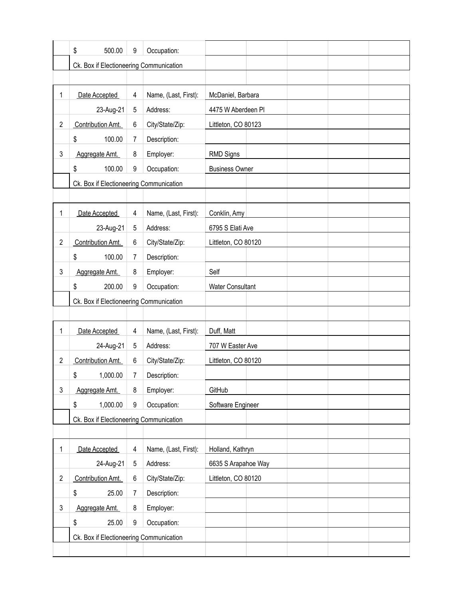|                | \$<br>500.00                            | 9 | Occupation:          |                         |  |  |
|----------------|-----------------------------------------|---|----------------------|-------------------------|--|--|
|                | Ck. Box if Electioneering Communication |   |                      |                         |  |  |
|                |                                         |   |                      |                         |  |  |
| 1              | Date Accepted                           | 4 | Name, (Last, First): | McDaniel, Barbara       |  |  |
|                | 23-Aug-21                               | 5 | Address:             | 4475 W Aberdeen Pl      |  |  |
| $\overline{2}$ | Contribution Amt.                       | 6 | City/State/Zip:      | Littleton, CO 80123     |  |  |
|                | 100.00<br>\$                            | 7 | Description:         |                         |  |  |
| 3              | Aggregate Amt.                          | 8 | Employer:            | <b>RMD Signs</b>        |  |  |
|                | \$<br>100.00                            | 9 | Occupation:          | <b>Business Owner</b>   |  |  |
|                | Ck. Box if Electioneering Communication |   |                      |                         |  |  |
|                |                                         |   |                      |                         |  |  |
| 1              | Date Accepted                           | 4 | Name, (Last, First): | Conklin, Amy            |  |  |
|                | 23-Aug-21                               | 5 | Address:             | 6795 S Elati Ave        |  |  |
| $\overline{2}$ | Contribution Amt.                       | 6 | City/State/Zip:      | Littleton, CO 80120     |  |  |
|                | 100.00<br>\$                            | 7 | Description:         |                         |  |  |
| 3              | Aggregate Amt.                          | 8 | Employer:            | Self                    |  |  |
|                | \$<br>200.00                            | 9 | Occupation:          | <b>Water Consultant</b> |  |  |
|                | Ck. Box if Electioneering Communication |   |                      |                         |  |  |
|                |                                         |   |                      |                         |  |  |
| 1              | Date Accepted                           | 4 | Name, (Last, First): | Duff, Matt              |  |  |
|                | 24-Aug-21                               | 5 | Address:             | 707 W Easter Ave        |  |  |
| $\overline{2}$ | Contribution Amt.                       | 6 | City/State/Zip:      | Littleton, CO 80120     |  |  |
|                | \$<br>1,000.00                          | 7 | Description:         |                         |  |  |
| 3              | Aggregate Amt.                          | 8 | Employer:            | GitHub                  |  |  |
|                | 1,000.00<br>\$                          | 9 | Occupation:          | Software Engineer       |  |  |
|                | Ck. Box if Electioneering Communication |   |                      |                         |  |  |
|                |                                         |   |                      |                         |  |  |
| 1              | Date Accepted                           | 4 | Name, (Last, First): | Holland, Kathryn        |  |  |
|                | 24-Aug-21                               | 5 | Address:             | 6635 S Arapahoe Way     |  |  |
| $\overline{c}$ | Contribution Amt.                       | 6 | City/State/Zip:      | Littleton, CO 80120     |  |  |
|                | \$<br>25.00                             | 7 | Description:         |                         |  |  |
| 3              | Aggregate Amt.                          | 8 | Employer:            |                         |  |  |
|                | \$<br>25.00                             | 9 | Occupation:          |                         |  |  |
|                | Ck. Box if Electioneering Communication |   |                      |                         |  |  |
|                |                                         |   |                      |                         |  |  |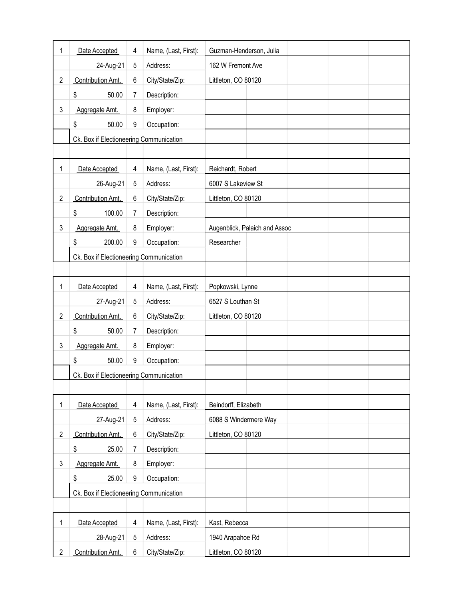| 1              | Date Accepted                           | 4 | Name, (Last, First): | Guzman-Henderson, Julia       |
|----------------|-----------------------------------------|---|----------------------|-------------------------------|
|                | 24-Aug-21                               | 5 | Address:             | 162 W Fremont Ave             |
| $\overline{2}$ | Contribution Amt.                       | 6 | City/State/Zip:      | Littleton, CO 80120           |
|                | \$<br>50.00                             | 7 | Description:         |                               |
| 3              | Aggregate Amt.                          | 8 | Employer:            |                               |
|                | \$<br>50.00                             | 9 | Occupation:          |                               |
|                | Ck. Box if Electioneering Communication |   |                      |                               |
|                |                                         |   |                      |                               |
| 1              | Date Accepted                           | 4 | Name, (Last, First): | Reichardt, Robert             |
|                | 26-Aug-21                               | 5 | Address:             | 6007 S Lakeview St            |
| $\overline{2}$ | Contribution Amt.                       | 6 | City/State/Zip:      | Littleton, CO 80120           |
|                | \$<br>100.00                            | 7 | Description:         |                               |
| 3              | Aggregate Amt.                          | 8 | Employer:            | Augenblick, Palaich and Assoc |
|                | \$<br>200.00                            | 9 | Occupation:          | Researcher                    |
|                | Ck. Box if Electioneering Communication |   |                      |                               |
|                |                                         |   |                      |                               |
| 1              | Date Accepted                           | 4 | Name, (Last, First): | Popkowski, Lynne              |
|                | 27-Aug-21                               | 5 | Address:             | 6527 S Louthan St             |
| $\overline{2}$ | Contribution Amt.                       | 6 | City/State/Zip:      | Littleton, CO 80120           |
|                | \$<br>50.00                             | 7 | Description:         |                               |
| 3              | Aggregate Amt.                          | 8 | Employer:            |                               |
|                | \$<br>50.00                             | 9 | Occupation:          |                               |
|                | Ck. Box if Electioneering Communication |   |                      |                               |
|                |                                         |   |                      |                               |
| 1              | Date Accepted                           | 4 | Name, (Last, First): | Beindorff, Elizabeth          |
|                | 27-Aug-21                               | 5 | Address:             | 6088 S Windermere Way         |
| $\overline{2}$ | Contribution Amt.                       | 6 | City/State/Zip:      | Littleton, CO 80120           |
|                | \$<br>25.00                             | 7 | Description:         |                               |
| 3              | Aggregate Amt.                          | 8 | Employer:            |                               |
|                | \$<br>25.00                             | 9 | Occupation:          |                               |
|                | Ck. Box if Electioneering Communication |   |                      |                               |
|                |                                         |   |                      |                               |
| 1              | Date Accepted                           | 4 | Name, (Last, First): | Kast, Rebecca                 |
|                | 28-Aug-21                               | 5 | Address:             | 1940 Arapahoe Rd              |
| $\overline{c}$ | Contribution Amt.                       | 6 | City/State/Zip:      | Littleton, CO 80120           |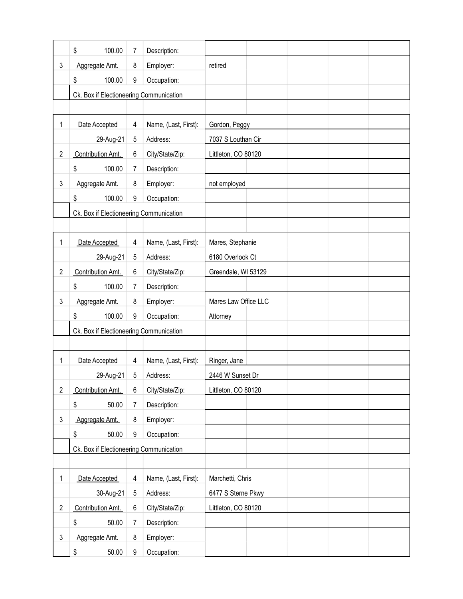|                | \$<br>100.00                            | 7     | Description:         |                      |
|----------------|-----------------------------------------|-------|----------------------|----------------------|
| 3              | Aggregate Amt.                          | 8     | Employer:            | retired              |
|                | \$<br>100.00                            | 9     | Occupation:          |                      |
|                | Ck. Box if Electioneering Communication |       |                      |                      |
|                |                                         |       |                      |                      |
| 1              | Date Accepted                           | 4     | Name, (Last, First): | Gordon, Peggy        |
|                | 29-Aug-21                               | 5     | Address:             | 7037 S Louthan Cir   |
| $\overline{2}$ | Contribution Amt.                       | $\,6$ | City/State/Zip:      | Littleton, CO 80120  |
|                | 100.00<br>\$                            | 7     | Description:         |                      |
| 3              | Aggregate Amt.                          | 8     | Employer:            | not employed         |
|                | \$<br>100.00                            | 9     | Occupation:          |                      |
|                | Ck. Box if Electioneering Communication |       |                      |                      |
|                |                                         |       |                      |                      |
| 1              | Date Accepted                           | 4     | Name, (Last, First): | Mares, Stephanie     |
|                | 29-Aug-21                               | 5     | Address:             | 6180 Overlook Ct     |
| $\overline{2}$ | Contribution Amt.                       | $\,6$ | City/State/Zip:      | Greendale, WI 53129  |
|                | \$<br>100.00                            | 7     | Description:         |                      |
| 3              | Aggregate Amt.                          | 8     | Employer:            | Mares Law Office LLC |
|                | \$<br>100.00                            | 9     | Occupation:          | Attorney             |
|                | Ck. Box if Electioneering Communication |       |                      |                      |
|                |                                         |       |                      |                      |
| 1              | Date Accepted                           | 4     | Name, (Last, First): | Ringer, Jane         |
|                | 29-Aug-21                               | 5     | Address:             | 2446 W Sunset Dr     |
| $\overline{c}$ | Contribution Amt.                       | 6     | City/State/Zip:      | Littleton, CO 80120  |
|                | \$<br>50.00                             | 7     | Description:         |                      |
| 3              | Aggregate Amt.                          | 8     | Employer:            |                      |
|                | \$<br>50.00                             | 9     | Occupation:          |                      |
|                | Ck. Box if Electioneering Communication |       |                      |                      |
|                |                                         |       |                      |                      |
| 1              | Date Accepted                           | 4     | Name, (Last, First): | Marchetti, Chris     |
|                | 30-Aug-21                               | 5     | Address:             | 6477 S Sterne Pkwy   |
| $\overline{c}$ | Contribution Amt.                       | $\,6$ | City/State/Zip:      | Littleton, CO 80120  |
|                | \$<br>50.00                             | 7     | Description:         |                      |
| 3              | Aggregate Amt.                          | 8     | Employer:            |                      |
|                | \$<br>50.00                             | 9     | Occupation:          |                      |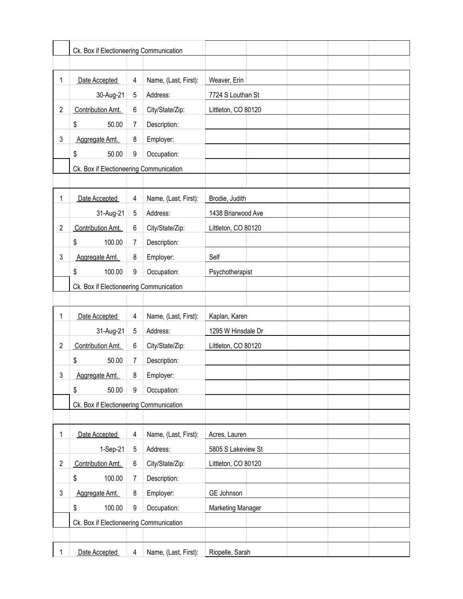|                | Ck. Box if Electioneering Communication |   |                      |                     |
|----------------|-----------------------------------------|---|----------------------|---------------------|
|                |                                         |   |                      |                     |
| 1              | Date Accepted                           | 4 | Name, (Last, First): | Weaver, Erin        |
|                | 30-Aug-21                               | 5 | Address:             | 7724 S Louthan St   |
| $\overline{2}$ | Contribution Amt.                       | 6 | City/State/Zip:      | Littleton, CO 80120 |
|                | \$<br>50.00                             | 7 | Description:         |                     |
| 3              | Aggregate Amt.                          | 8 | Employer:            |                     |
|                | \$<br>50.00                             | 9 | Occupation:          |                     |
|                | Ck. Box if Electioneering Communication |   |                      |                     |
|                |                                         |   |                      |                     |
| 1              | Date Accepted                           | 4 | Name, (Last, First): | Brodie, Judith      |
|                | 31-Aug-21                               | 5 | Address:             | 1438 Briarwood Ave  |
| $\overline{c}$ | Contribution Amt.                       | 6 | City/State/Zip:      | Littleton, CO 80120 |
|                | \$<br>100.00                            | 7 | Description:         |                     |
| 3              | Aggregate Amt.                          | 8 | Employer:            | Self                |
|                | \$<br>100.00                            | 9 | Occupation:          | Psychotherapist     |
|                | Ck. Box if Electioneering Communication |   |                      |                     |
|                |                                         |   |                      |                     |
| 1              | Date Accepted                           | 4 | Name, (Last, First): | Kaplan, Karen       |
|                | 31-Aug-21                               | 5 | Address:             | 1295 W Hinsdale Dr  |
| $\overline{c}$ | Contribution Amt.                       | 6 | City/State/Zip:      | Littleton, CO 80120 |
|                | \$<br>50.00                             | 7 | Description:         |                     |
| 3              | Aggregate Amt.                          | 8 | Employer:            |                     |
|                | \$<br>50.00                             | 9 | Occupation:          |                     |
|                | Ck. Box if Electioneering Communication |   |                      |                     |
|                |                                         |   |                      |                     |
| 1              | Date Accepted                           | 4 | Name, (Last, First): | Acres, Lauren       |
|                | 1-Sep-21                                | 5 | Address:             | 5805 S Lakeview St  |
| $\overline{c}$ | Contribution Amt.                       | 6 | City/State/Zip:      | Littleton, CO 80120 |
|                | \$<br>100.00                            | 7 | Description:         |                     |
| 3              | Aggregate Amt.                          | 8 | Employer:            | GE Johnson          |
|                | \$<br>100.00                            | 9 | Occupation:          | Marketing Manager   |
|                | Ck. Box if Electioneering Communication |   |                      |                     |
|                |                                         |   |                      |                     |
| 1              | Date Accepted                           | 4 | Name, (Last, First): | Riopelle, Sarah     |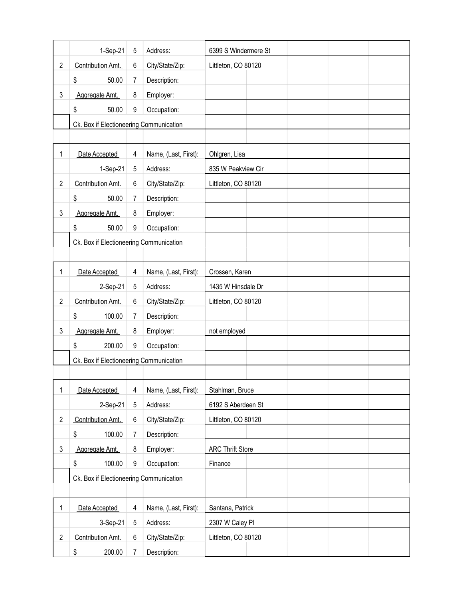|                | 1-Sep-21                                | 5              | Address:             | 6399 S Windermere St    |
|----------------|-----------------------------------------|----------------|----------------------|-------------------------|
| $\overline{2}$ | Contribution Amt.                       | 6              | City/State/Zip:      | Littleton, CO 80120     |
|                | \$<br>50.00                             | 7              | Description:         |                         |
| 3              | Aggregate Amt.                          | 8              | Employer:            |                         |
|                | \$<br>50.00                             | 9              | Occupation:          |                         |
|                | Ck. Box if Electioneering Communication |                |                      |                         |
|                |                                         |                |                      |                         |
| 1              | Date Accepted                           | 4              | Name, (Last, First): | Ohlgren, Lisa           |
|                | 1-Sep-21                                | 5              | Address:             | 835 W Peakview Cir      |
| $\overline{2}$ | Contribution Amt.                       | 6              | City/State/Zip:      | Littleton, CO 80120     |
|                | \$<br>50.00                             | $\overline{7}$ | Description:         |                         |
| 3              | Aggregate Amt.                          | 8              | Employer:            |                         |
|                | \$<br>50.00                             | 9              | Occupation:          |                         |
|                | Ck. Box if Electioneering Communication |                |                      |                         |
|                |                                         |                |                      |                         |
| 1              | Date Accepted                           | 4              | Name, (Last, First): | Crossen, Karen          |
|                | 2-Sep-21                                | 5              | Address:             | 1435 W Hinsdale Dr      |
| $\overline{c}$ | Contribution Amt.                       | 6              | City/State/Zip:      | Littleton, CO 80120     |
|                | \$<br>100.00                            | $\overline{7}$ | Description:         |                         |
| 3              | Aggregate Amt.                          | 8              | Employer:            | not employed            |
|                | \$<br>200.00                            | 9              | Occupation:          |                         |
|                | Ck. Box if Electioneering Communication |                |                      |                         |
|                |                                         |                |                      |                         |
| 1              | Date Accepted                           | 4              | Name, (Last, First): | Stahlman, Bruce         |
|                | 2-Sep-21                                | 5              | Address:             | 6192 S Aberdeen St      |
| $\overline{2}$ | Contribution Amt.                       | 6              | City/State/Zip:      | Littleton, CO 80120     |
|                | 100.00<br>\$                            | 7              | Description:         |                         |
| 3              | Aggregate Amt.                          | 8              | Employer:            | <b>ARC Thrift Store</b> |
|                | \$<br>100.00                            | 9              | Occupation:          | Finance                 |
|                | Ck. Box if Electioneering Communication |                |                      |                         |
|                |                                         |                |                      |                         |
| 1              | Date Accepted                           | 4              | Name, (Last, First): | Santana, Patrick        |
|                | 3-Sep-21                                | 5              | Address:             | 2307 W Caley Pl         |
| $\overline{2}$ | Contribution Amt.                       | 6              | City/State/Zip:      | Littleton, CO 80120     |
|                | \$<br>200.00                            | 7              | Description:         |                         |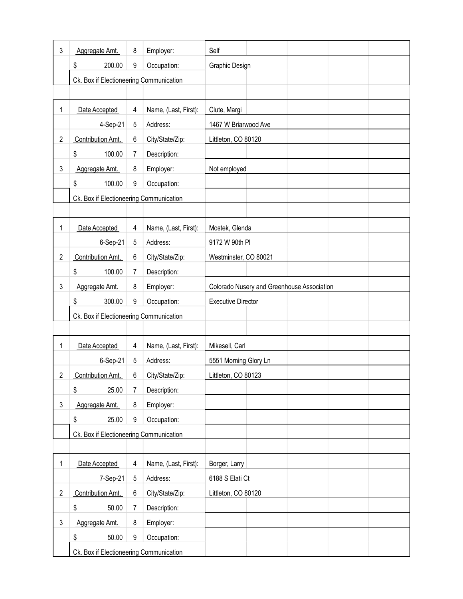| 3              | Aggregate Amt.                          | 8 | Employer:            | Self                                       |
|----------------|-----------------------------------------|---|----------------------|--------------------------------------------|
|                | \$<br>200.00                            | 9 | Occupation:          | Graphic Design                             |
|                | Ck. Box if Electioneering Communication |   |                      |                                            |
|                |                                         |   |                      |                                            |
| 1              | Date Accepted                           | 4 | Name, (Last, First): | Clute, Margi                               |
|                | 4-Sep-21                                | 5 | Address:             | 1467 W Briarwood Ave                       |
| $\overline{2}$ | Contribution Amt.                       | 6 | City/State/Zip:      | Littleton, CO 80120                        |
|                | \$<br>100.00                            | 7 | Description:         |                                            |
| 3              | Aggregate Amt.                          | 8 | Employer:            | Not employed                               |
|                | \$<br>100.00                            | 9 | Occupation:          |                                            |
|                | Ck. Box if Electioneering Communication |   |                      |                                            |
|                |                                         |   |                      |                                            |
| 1              | Date Accepted                           | 4 | Name, (Last, First): | Mostek, Glenda                             |
|                | 6-Sep-21                                | 5 | Address:             | 9172 W 90th PI                             |
| $\overline{2}$ | Contribution Amt.                       | 6 | City/State/Zip:      | Westminster, CO 80021                      |
|                | \$<br>100.00                            | 7 | Description:         |                                            |
| 3              | Aggregate Amt.                          | 8 | Employer:            | Colorado Nusery and Greenhouse Association |
|                | 300.00<br>\$                            | 9 | Occupation:          | <b>Executive Director</b>                  |
|                | Ck. Box if Electioneering Communication |   |                      |                                            |
|                |                                         |   |                      |                                            |
| 1              | Date Accepted                           | 4 | Name, (Last, First): | Mikesell, Carl                             |
|                | 6-Sep-21                                | 5 | Address:             | 5551 Morning Glory Ln                      |
| $\overline{2}$ | Contribution Amt.                       | 6 | City/State/Zip:      | Littleton, CO 80123                        |
|                | \$<br>25.00                             | 7 | Description:         |                                            |
| 3              | Aggregate Amt.                          | 8 | Employer:            |                                            |
|                | \$<br>25.00                             | 9 | Occupation:          |                                            |
|                | Ck. Box if Electioneering Communication |   |                      |                                            |
|                |                                         |   |                      |                                            |
| 1              | Date Accepted                           | 4 | Name, (Last, First): | Borger, Larry                              |
|                | 7-Sep-21                                | 5 | Address:             | 6188 S Elati Ct                            |
| $\overline{2}$ | Contribution Amt.                       | 6 | City/State/Zip:      | Littleton, CO 80120                        |
|                | \$<br>50.00                             | 7 | Description:         |                                            |
| 3              | Aggregate Amt.                          | 8 | Employer:            |                                            |
|                | \$<br>50.00                             | 9 | Occupation:          |                                            |
|                | Ck. Box if Electioneering Communication |   |                      |                                            |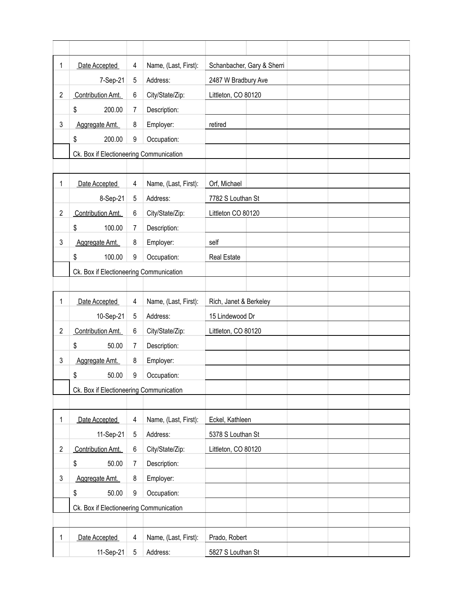| 1              | Date Accepted                           | 4 | Name, (Last, First): | Schanbacher, Gary & Sherri |
|----------------|-----------------------------------------|---|----------------------|----------------------------|
|                | 7-Sep-21                                | 5 | Address:             | 2487 W Bradbury Ave        |
| $\overline{2}$ | Contribution Amt.                       | 6 | City/State/Zip:      | Littleton, CO 80120        |
|                | \$<br>200.00                            | 7 | Description:         |                            |
| 3              | Aggregate Amt.                          | 8 | Employer:            | retired                    |
|                | 200.00<br>\$                            | 9 | Occupation:          |                            |
|                | Ck. Box if Electioneering Communication |   |                      |                            |
|                |                                         |   |                      |                            |
| 1              | Date Accepted                           | 4 | Name, (Last, First): | Orf, Michael               |
|                | 8-Sep-21                                | 5 | Address:             | 7782 S Louthan St          |
| $\overline{2}$ | Contribution Amt.                       | 6 | City/State/Zip:      | Littleton CO 80120         |
|                | \$<br>100.00                            | 7 | Description:         |                            |
| 3              | Aggregate Amt.                          | 8 | Employer:            | self                       |
|                | 100.00<br>\$                            | 9 | Occupation:          | <b>Real Estate</b>         |
|                | Ck. Box if Electioneering Communication |   |                      |                            |
|                |                                         |   |                      |                            |
| 1              | Date Accepted                           | 4 | Name, (Last, First): | Rich, Janet & Berkeley     |
|                | 10-Sep-21                               | 5 | Address:             | 15 Lindewood Dr            |
| $\overline{2}$ | Contribution Amt.                       | 6 | City/State/Zip:      | Littleton, CO 80120        |
|                | \$<br>50.00                             | 7 | Description:         |                            |
| 3              | Aggregate Amt.                          | 8 | Employer:            |                            |
|                | \$<br>50.00                             | 9 | Occupation:          |                            |
|                | Ck. Box if Electioneering Communication |   |                      |                            |
|                |                                         |   |                      |                            |
| 1              | Date Accepted                           | 4 | Name, (Last, First): | Eckel, Kathleen            |
|                | 11-Sep-21                               | 5 | Address:             | 5378 S Louthan St          |
| $\overline{2}$ | Contribution Amt.                       | 6 | City/State/Zip:      | Littleton, CO 80120        |
|                | \$<br>50.00                             | 7 | Description:         |                            |
| 3              | Aggregate Amt.                          | 8 | Employer:            |                            |
|                | \$<br>50.00                             | 9 | Occupation:          |                            |
|                | Ck. Box if Electioneering Communication |   |                      |                            |
|                |                                         |   |                      |                            |
| 1              | Date Accepted                           | 4 | Name, (Last, First): | Prado, Robert              |
|                | 11-Sep-21                               | 5 | Address:             | 5827 S Louthan St          |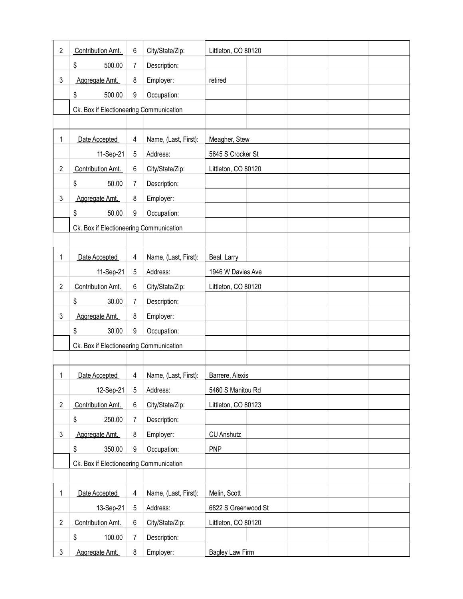| $\overline{2}$ | Contribution Amt.                       | 6 | City/State/Zip:      | Littleton, CO 80120    |
|----------------|-----------------------------------------|---|----------------------|------------------------|
|                | \$<br>500.00                            | 7 | Description:         |                        |
| 3              | Aggregate Amt.                          | 8 | Employer:            | retired                |
|                | \$<br>500.00                            | 9 | Occupation:          |                        |
|                | Ck. Box if Electioneering Communication |   |                      |                        |
|                |                                         |   |                      |                        |
| 1              | Date Accepted                           | 4 | Name, (Last, First): | Meagher, Stew          |
|                | 11-Sep-21                               | 5 | Address:             | 5645 S Crocker St      |
| $\overline{2}$ | Contribution Amt.                       | 6 | City/State/Zip:      | Littleton, CO 80120    |
|                | \$<br>50.00                             | 7 | Description:         |                        |
| 3              | Aggregate Amt.                          | 8 | Employer:            |                        |
|                | \$<br>50.00                             | 9 | Occupation:          |                        |
|                | Ck. Box if Electioneering Communication |   |                      |                        |
|                |                                         |   |                      |                        |
| 1              | Date Accepted                           | 4 | Name, (Last, First): | Beal, Larry            |
|                | 11-Sep-21                               | 5 | Address:             | 1946 W Davies Ave      |
| $\overline{c}$ | Contribution Amt.                       | 6 | City/State/Zip:      | Littleton, CO 80120    |
|                | \$<br>30.00                             | 7 | Description:         |                        |
| 3              | Aggregate Amt.                          | 8 | Employer:            |                        |
|                | \$<br>30.00                             | 9 | Occupation:          |                        |
|                | Ck. Box if Electioneering Communication |   |                      |                        |
|                |                                         |   |                      |                        |
| 1              | Date Accepted                           | 4 | Name, (Last, First): | Barrere, Alexis        |
|                | 12-Sep-21                               | 5 | Address:             | 5460 S Manitou Rd      |
| $\overline{2}$ | Contribution Amt.                       | 6 | City/State/Zip:      | Littleton, CO 80123    |
|                | 250.00<br>\$                            | 7 | Description:         |                        |
| 3              | Aggregate Amt.                          | 8 | Employer:            | <b>CU Anshutz</b>      |
|                | \$<br>350.00                            | 9 | Occupation:          | <b>PNP</b>             |
|                | Ck. Box if Electioneering Communication |   |                      |                        |
|                |                                         |   |                      |                        |
| 1              | Date Accepted                           | 4 | Name, (Last, First): | Melin, Scott           |
|                | 13-Sep-21                               | 5 | Address:             | 6822 S Greenwood St    |
| $\overline{2}$ | Contribution Amt.                       | 6 | City/State/Zip:      | Littleton, CO 80120    |
|                | \$<br>100.00                            | 7 | Description:         |                        |
| $\mathfrak{Z}$ | Aggregate Amt.                          | 8 | Employer:            | <b>Bagley Law Firm</b> |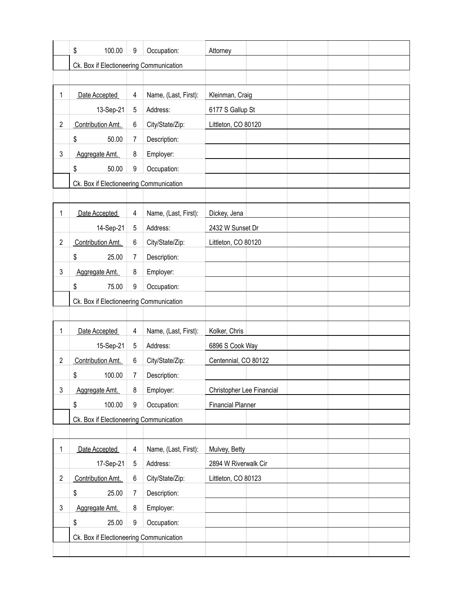|                | \$<br>100.00                            | 9 | Occupation:          | Attorney                  |  |  |
|----------------|-----------------------------------------|---|----------------------|---------------------------|--|--|
|                | Ck. Box if Electioneering Communication |   |                      |                           |  |  |
|                |                                         |   |                      |                           |  |  |
| 1              | Date Accepted                           | 4 | Name, (Last, First): | Kleinman, Craig           |  |  |
|                | 13-Sep-21                               | 5 | Address:             | 6177 S Gallup St          |  |  |
| $\overline{2}$ | Contribution Amt.                       | 6 | City/State/Zip:      | Littleton, CO 80120       |  |  |
|                | \$<br>50.00                             | 7 | Description:         |                           |  |  |
| 3              | Aggregate Amt.                          | 8 | Employer:            |                           |  |  |
|                | \$<br>50.00                             | 9 | Occupation:          |                           |  |  |
|                | Ck. Box if Electioneering Communication |   |                      |                           |  |  |
|                |                                         |   |                      |                           |  |  |
| 1              | Date Accepted                           | 4 | Name, (Last, First): | Dickey, Jena              |  |  |
|                | 14-Sep-21                               | 5 | Address:             | 2432 W Sunset Dr          |  |  |
| $\overline{2}$ | Contribution Amt.                       | 6 | City/State/Zip:      | Littleton, CO 80120       |  |  |
|                | \$<br>25.00                             | 7 | Description:         |                           |  |  |
| 3              | Aggregate Amt.                          | 8 | Employer:            |                           |  |  |
|                | \$<br>75.00                             | 9 | Occupation:          |                           |  |  |
|                | Ck. Box if Electioneering Communication |   |                      |                           |  |  |
|                |                                         |   |                      |                           |  |  |
| 1              | Date Accepted                           | 4 | Name, (Last, First): | Kolker, Chris             |  |  |
|                | 15-Sep-21                               | 5 | Address:             | 6896 S Cook Way           |  |  |
| $\overline{2}$ | Contribution Amt.                       | 6 | City/State/Zip:      | Centennial, CO 80122      |  |  |
|                | \$<br>100.00                            | 7 | Description:         |                           |  |  |
| 3              | Aggregate Amt.                          | 8 | Employer:            | Christopher Lee Financial |  |  |
|                | \$<br>100.00                            | 9 | Occupation:          | <b>Financial Planner</b>  |  |  |
|                | Ck. Box if Electioneering Communication |   |                      |                           |  |  |
|                |                                         |   |                      |                           |  |  |
| 1              | Date Accepted                           | 4 | Name, (Last, First): | Mulvey, Betty             |  |  |
|                | 17-Sep-21                               | 5 | Address:             | 2894 W Riverwalk Cir      |  |  |
| $\overline{2}$ | Contribution Amt.                       | 6 | City/State/Zip:      | Littleton, CO 80123       |  |  |
|                | \$<br>25.00                             | 7 | Description:         |                           |  |  |
| 3              | Aggregate Amt.                          | 8 | Employer:            |                           |  |  |
|                | \$<br>25.00                             | 9 | Occupation:          |                           |  |  |
|                | Ck. Box if Electioneering Communication |   |                      |                           |  |  |
|                |                                         |   |                      |                           |  |  |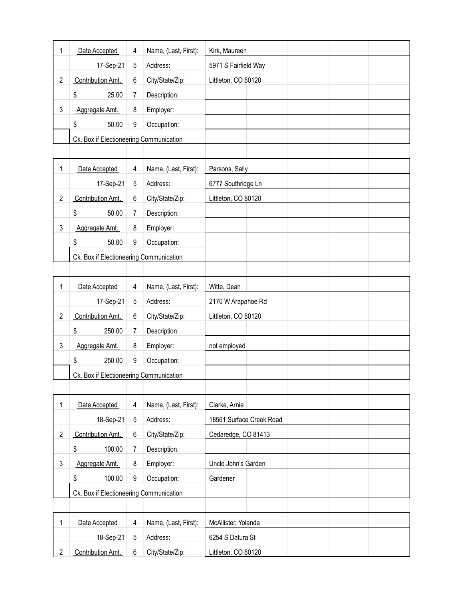| 1              | Date Accepted                           | 4 | Name, (Last, First): | Kirk, Maureen            |
|----------------|-----------------------------------------|---|----------------------|--------------------------|
|                | 17-Sep-21                               | 5 | Address:             | 5971 S Fairfield Way     |
| $\overline{2}$ | Contribution Amt.                       | 6 | City/State/Zip:      | Littleton, CO 80120      |
|                | \$<br>25.00                             | 7 | Description:         |                          |
| 3              | Aggregate Amt.                          | 8 | Employer:            |                          |
|                | \$<br>50.00                             | 9 | Occupation:          |                          |
|                | Ck. Box if Electioneering Communication |   |                      |                          |
|                |                                         |   |                      |                          |
| 1              | Date Accepted                           | 4 | Name, (Last, First): | Parsons, Sally           |
|                | 17-Sep-21                               | 5 | Address:             | 6777 Southridge Ln       |
| $\overline{2}$ | Contribution Amt.                       | 6 | City/State/Zip:      | Littleton, CO 80120      |
|                | \$<br>50.00                             | 7 | Description:         |                          |
| 3              | Aggregate Amt.                          | 8 | Employer:            |                          |
|                | \$<br>50.00                             | 9 | Occupation:          |                          |
|                | Ck. Box if Electioneering Communication |   |                      |                          |
|                |                                         |   |                      |                          |
| 1              | Date Accepted                           | 4 | Name, (Last, First): | Witte, Dean              |
|                | 17-Sep-21                               | 5 | Address:             | 2170 W Arapahoe Rd       |
| $\overline{2}$ | Contribution Amt.                       | 6 | City/State/Zip:      | Littleton, CO 80120      |
|                | \$<br>250.00                            | 7 | Description:         |                          |
| 3              | Aggregate Amt.                          | 8 | Employer:            | not employed             |
|                | \$<br>250.00                            | 9 | Occupation:          |                          |
|                | Ck. Box if Electioneering Communication |   |                      |                          |
|                |                                         |   |                      |                          |
| 1              | Date Accepted                           | 4 | Name, (Last, First): | Clarke, Arnie            |
|                | 18-Sep-21                               | 5 | Address:             | 18561 Surface Creek Road |
| $\overline{2}$ | Contribution Amt.                       | 6 | City/State/Zip:      | Cedaredge, CO 81413      |
|                | \$<br>100.00                            | 7 | Description:         |                          |
| 3              | Aggregate Amt.                          | 8 | Employer:            | Uncle John's Garden      |
|                | \$<br>100.00                            | 9 | Occupation:          | Gardener                 |
|                | Ck. Box if Electioneering Communication |   |                      |                          |
|                |                                         |   |                      |                          |
| 1              | Date Accepted                           | 4 | Name, (Last, First): | McAllister, Yolanda      |
|                | 18-Sep-21                               | 5 | Address:             | 6254 S Datura St         |
| $\overline{2}$ | Contribution Amt.                       | 6 | City/State/Zip:      | Littleton, CO 80120      |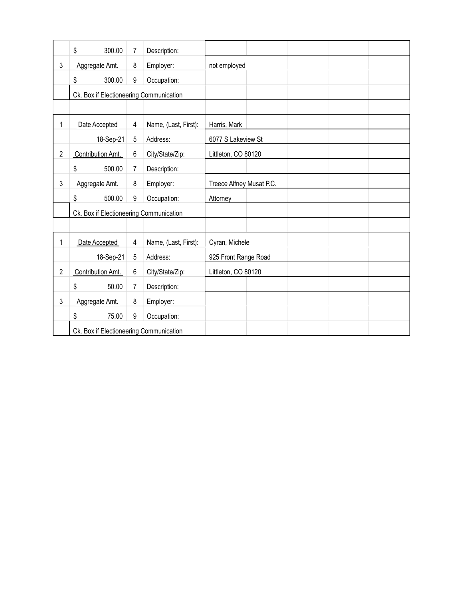|                | \$<br>300.00                            | 7 | Description:         |                          |
|----------------|-----------------------------------------|---|----------------------|--------------------------|
| 3              | Aggregate Amt.                          | 8 | Employer:            | not employed             |
|                | \$<br>300.00                            | 9 | Occupation:          |                          |
|                | Ck. Box if Electioneering Communication |   |                      |                          |
|                |                                         |   |                      |                          |
| 1              | Date Accepted                           | 4 | Name, (Last, First): | Harris, Mark             |
|                | 18-Sep-21                               | 5 | Address:             | 6077 S Lakeview St       |
| $\overline{2}$ | Contribution Amt.                       | 6 | City/State/Zip:      | Littleton, CO 80120      |
|                | \$<br>500.00                            | 7 | Description:         |                          |
| 3              | Aggregate Amt.                          | 8 | Employer:            | Treece Alfney Musat P.C. |
|                | \$<br>500.00                            | 9 | Occupation:          | Attorney                 |
|                | Ck. Box if Electioneering Communication |   |                      |                          |
|                |                                         |   |                      |                          |
| 1              | Date Accepted                           | 4 | Name, (Last, First): | Cyran, Michele           |
|                | 18-Sep-21                               | 5 | Address:             | 925 Front Range Road     |
| $\overline{c}$ | Contribution Amt.                       | 6 | City/State/Zip:      | Littleton, CO 80120      |
|                | \$<br>50.00                             | 7 | Description:         |                          |
| 3              | Aggregate Amt.                          | 8 | Employer:            |                          |
|                | \$<br>75.00                             | 9 | Occupation:          |                          |
|                | Ck. Box if Electioneering Communication |   |                      |                          |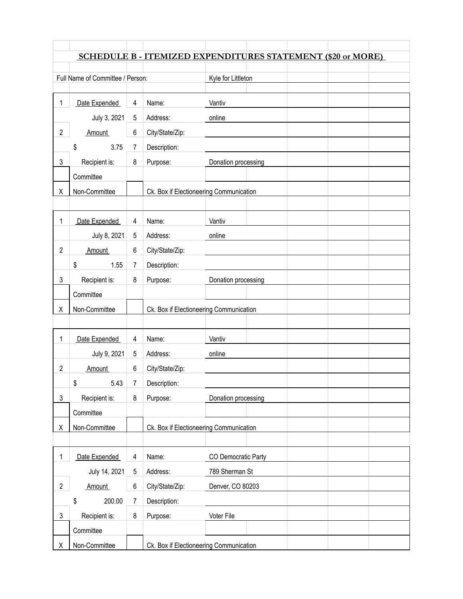|                |                                  |                |                                         | <b>SCHEDULE B - ITEMIZED EXPENDITURES STATEMENT (\$20 or MORE)</b> |
|----------------|----------------------------------|----------------|-----------------------------------------|--------------------------------------------------------------------|
|                |                                  |                |                                         |                                                                    |
|                | Full Name of Committee / Person: |                |                                         | Kyle for Littleton                                                 |
|                |                                  |                |                                         |                                                                    |
| 1              | Date Expended                    | 4              | Name:                                   | Vantiv                                                             |
|                | July 3, 2021                     | 5              | Address:                                | online                                                             |
| $\overline{c}$ | Amount                           | 6              | City/State/Zip:                         |                                                                    |
|                | \$<br>3.75                       | 7              | Description:                            |                                                                    |
| 3              | Recipient is:                    | 8              | Purpose:                                | Donation processing                                                |
|                | Committee                        |                |                                         |                                                                    |
| Χ              | Non-Committee                    |                | Ck. Box if Electioneering Communication |                                                                    |
|                |                                  |                |                                         |                                                                    |
| 1              | Date Expended                    | 4              | Name:                                   | Vantiv                                                             |
|                | July 8, 2021                     | 5              | Address:                                | online                                                             |
| $\overline{2}$ | Amount                           | 6              | City/State/Zip:                         |                                                                    |
|                | \$<br>1.55                       | 7              | Description:                            |                                                                    |
| 3              | Recipient is:                    | 8              | Purpose:                                | Donation processing                                                |
|                | Committee                        |                |                                         |                                                                    |
| Χ              | Non-Committee                    |                | Ck. Box if Electioneering Communication |                                                                    |
|                |                                  |                |                                         |                                                                    |
| 1              | Date Expended                    | 4              | Name:                                   | Vantiv                                                             |
|                | July 9, 2021                     | 5              | Address:                                | online                                                             |
| $\overline{2}$ | Amount                           | 6              | City/State/Zip:                         |                                                                    |
|                | 5.43<br>\$                       | 7 <sup>7</sup> | Description:                            |                                                                    |
| 3              | Recipient is:                    | 8              | Purpose:                                | Donation processing                                                |
|                | Committee                        |                |                                         |                                                                    |
| Χ              | Non-Committee                    |                | Ck. Box if Electioneering Communication |                                                                    |
|                |                                  |                |                                         |                                                                    |
| $\mathbf{1}$   | Date Expended                    | 4              | Name:                                   | CO Democratic Party                                                |
|                | July 14, 2021                    | 5              | Address:                                | 789 Sherman St                                                     |
| $\overline{2}$ | Amount                           | $\,6$          | City/State/Zip:                         | Denver, CO 80203                                                   |
|                | 200.00<br>\$                     | 7              | Description:                            |                                                                    |
| 3              | Recipient is:                    | 8              | Purpose:                                | Voter File                                                         |
|                | Committee                        |                |                                         |                                                                    |
| Χ              | Non-Committee                    |                | Ck. Box if Electioneering Communication |                                                                    |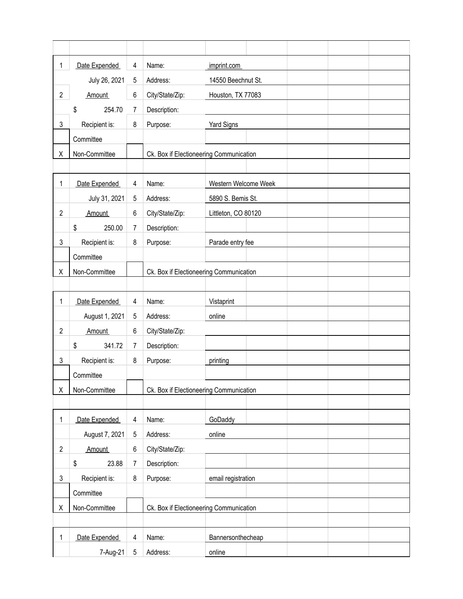| 1              | Date Expended  | 4 | Name:                                   | imprint.com                             |  |  |  |
|----------------|----------------|---|-----------------------------------------|-----------------------------------------|--|--|--|
|                | July 26, 2021  | 5 | Address:                                | 14550 Beechnut St.                      |  |  |  |
| $\overline{2}$ | Amount         | 6 | City/State/Zip:                         | Houston, TX 77083                       |  |  |  |
|                | \$<br>254.70   | 7 | Description:                            |                                         |  |  |  |
| 3              | Recipient is:  | 8 | Purpose:                                | <b>Yard Signs</b>                       |  |  |  |
|                | Committee      |   |                                         |                                         |  |  |  |
| Χ              | Non-Committee  |   | Ck. Box if Electioneering Communication |                                         |  |  |  |
|                |                |   |                                         |                                         |  |  |  |
| 1              | Date Expended  | 4 | Name:                                   | Western Welcome Week                    |  |  |  |
|                | July 31, 2021  | 5 | Address:                                | 5890 S. Bemis St.                       |  |  |  |
| $\overline{2}$ | Amount         | 6 | City/State/Zip:                         | Littleton, CO 80120                     |  |  |  |
|                | \$<br>250.00   | 7 | Description:                            |                                         |  |  |  |
| 3              | Recipient is:  | 8 | Purpose:                                | Parade entry fee                        |  |  |  |
|                | Committee      |   |                                         |                                         |  |  |  |
| Χ              | Non-Committee  |   |                                         | Ck. Box if Electioneering Communication |  |  |  |
|                |                |   |                                         |                                         |  |  |  |
| 1              | Date Expended  | 4 | Name:                                   | Vistaprint                              |  |  |  |
|                | August 1, 2021 | 5 | Address:                                | online                                  |  |  |  |
| $\overline{2}$ | Amount         | 6 | City/State/Zip:                         |                                         |  |  |  |
|                | \$<br>341.72   | 7 | Description:                            |                                         |  |  |  |
| 3              | Recipient is:  | 8 | Purpose:                                | printing                                |  |  |  |
|                | Committee      |   |                                         |                                         |  |  |  |
| Χ              | Non-Committee  |   | Ck. Box if Electioneering Communication |                                         |  |  |  |
|                |                |   |                                         |                                         |  |  |  |
| 1              | Date Expended  | 4 | Name:                                   | GoDaddy                                 |  |  |  |
|                | August 7, 2021 | 5 | Address:                                | online                                  |  |  |  |
| $\overline{2}$ | Amount         | 6 | City/State/Zip:                         |                                         |  |  |  |
|                | \$<br>23.88    | 7 | Description:                            |                                         |  |  |  |
| 3              | Recipient is:  | 8 | Purpose:                                | email registration                      |  |  |  |
|                | Committee      |   |                                         |                                         |  |  |  |
| Χ              | Non-Committee  |   | Ck. Box if Electioneering Communication |                                         |  |  |  |
|                |                |   |                                         |                                         |  |  |  |
| 1              | Date Expended  | 4 | Name:                                   | Bannersonthecheap                       |  |  |  |
|                | 7-Aug-21       | 5 | Address:                                | online                                  |  |  |  |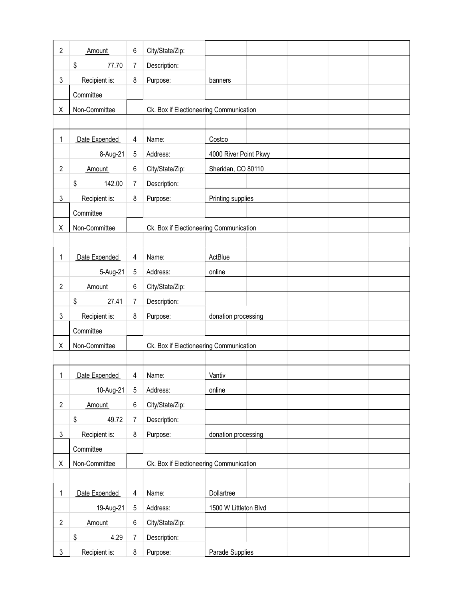| $\overline{2}$ | Amount        | 6              | City/State/Zip:                         |                                         |  |  |
|----------------|---------------|----------------|-----------------------------------------|-----------------------------------------|--|--|
|                | 77.70<br>\$   | 7              | Description:                            |                                         |  |  |
| 3              | Recipient is: | 8              | Purpose:                                | banners                                 |  |  |
|                | Committee     |                |                                         |                                         |  |  |
| Χ              | Non-Committee |                |                                         | Ck. Box if Electioneering Communication |  |  |
|                |               |                |                                         |                                         |  |  |
| 1              | Date Expended | 4              | Name:                                   | Costco                                  |  |  |
|                | 8-Aug-21      | 5              | Address:                                | 4000 River Point Pkwy                   |  |  |
| $\overline{2}$ | Amount        | 6              | City/State/Zip:                         | Sheridan, CO 80110                      |  |  |
|                | 142.00<br>\$  | 7              | Description:                            |                                         |  |  |
| 3              | Recipient is: | 8              | Purpose:                                | Printing supplies                       |  |  |
|                | Committee     |                |                                         |                                         |  |  |
| Χ              | Non-Committee |                |                                         | Ck. Box if Electioneering Communication |  |  |
|                |               |                |                                         |                                         |  |  |
| 1              | Date Expended | 4              | Name:                                   | ActBlue                                 |  |  |
|                | 5-Aug-21      | 5              | Address:                                | online                                  |  |  |
| $\overline{2}$ | Amount        | 6              | City/State/Zip:                         |                                         |  |  |
|                | \$<br>27.41   | 7              | Description:                            |                                         |  |  |
| 3              | Recipient is: | 8              | Purpose:                                | donation processing                     |  |  |
|                | Committee     |                |                                         |                                         |  |  |
| Χ              | Non-Committee |                |                                         | Ck. Box if Electioneering Communication |  |  |
|                |               |                |                                         |                                         |  |  |
| 1              | Date Expended | 4              | Name:                                   | Vantiv                                  |  |  |
|                | 10-Aug-21     | $\sqrt{5}$     | Address:                                | online                                  |  |  |
| $\overline{2}$ | Amount        | 6              | City/State/Zip:                         |                                         |  |  |
|                | \$<br>49.72   | $\overline{7}$ | Description:                            |                                         |  |  |
| 3              | Recipient is: | 8              | Purpose:                                | donation processing                     |  |  |
|                | Committee     |                |                                         |                                         |  |  |
| Χ              | Non-Committee |                | Ck. Box if Electioneering Communication |                                         |  |  |
|                |               |                |                                         |                                         |  |  |
| 1              | Date Expended | 4              | Name:                                   | Dollartree                              |  |  |
|                | 19-Aug-21     | 5              | Address:                                | 1500 W Littleton Blvd                   |  |  |
| $\overline{2}$ | Amount        | 6              | City/State/Zip:                         |                                         |  |  |
|                | \$<br>4.29    | $\overline{7}$ | Description:                            |                                         |  |  |
| 3              | Recipient is: | 8              | Purpose:                                | Parade Supplies                         |  |  |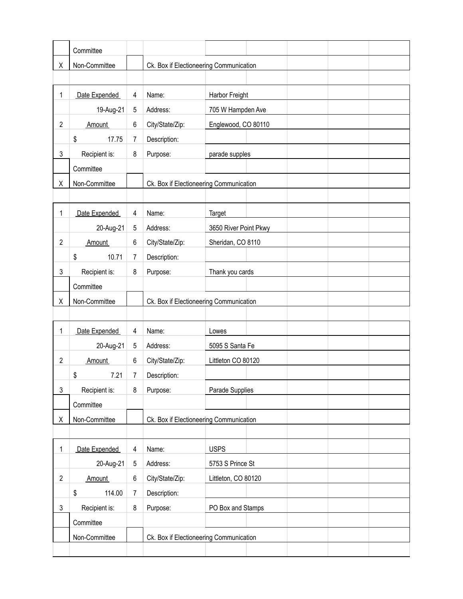|                | Committee     |                |                                         |                                         |  |  |  |  |
|----------------|---------------|----------------|-----------------------------------------|-----------------------------------------|--|--|--|--|
| Χ              | Non-Committee |                | Ck. Box if Electioneering Communication |                                         |  |  |  |  |
|                |               |                |                                         |                                         |  |  |  |  |
| 1              | Date Expended | 4              | Name:                                   | Harbor Freight                          |  |  |  |  |
|                | 19-Aug-21     | 5              | Address:                                | 705 W Hampden Ave                       |  |  |  |  |
| $\overline{c}$ | Amount        | 6              | City/State/Zip:                         | Englewood, CO 80110                     |  |  |  |  |
|                | \$<br>17.75   | 7              | Description:                            |                                         |  |  |  |  |
| 3              | Recipient is: | 8              | Purpose:                                | parade supples                          |  |  |  |  |
|                | Committee     |                |                                         |                                         |  |  |  |  |
| Χ              | Non-Committee |                | Ck. Box if Electioneering Communication |                                         |  |  |  |  |
|                |               |                |                                         |                                         |  |  |  |  |
| 1              | Date Expended | 4              | Name:                                   | Target                                  |  |  |  |  |
|                | 20-Aug-21     | 5              | Address:                                | 3650 River Point Pkwy                   |  |  |  |  |
| $\overline{c}$ | Amount        | 6              | City/State/Zip:                         | Sheridan, CO 8110                       |  |  |  |  |
|                | 10.71<br>\$   | $\overline{7}$ | Description:                            |                                         |  |  |  |  |
| 3              | Recipient is: | 8              | Purpose:                                | Thank you cards                         |  |  |  |  |
|                | Committee     |                |                                         |                                         |  |  |  |  |
| Χ              | Non-Committee |                | Ck. Box if Electioneering Communication |                                         |  |  |  |  |
|                |               |                |                                         |                                         |  |  |  |  |
| 1              | Date Expended | 4              | Name:                                   | Lowes                                   |  |  |  |  |
|                | 20-Aug-21     | 5              | Address:                                | 5095 S Santa Fe                         |  |  |  |  |
| $\overline{c}$ | Amount        | 6              | City/State/Zip:                         | Littleton CO 80120                      |  |  |  |  |
|                | \$<br>7.21    | 7              | Description:                            |                                         |  |  |  |  |
| 3              | Recipient is: | 8              | Purpose:                                | Parade Supplies                         |  |  |  |  |
|                | Committee     |                |                                         |                                         |  |  |  |  |
| Χ              | Non-Committee |                | Ck. Box if Electioneering Communication |                                         |  |  |  |  |
|                |               |                |                                         |                                         |  |  |  |  |
| 1              | Date Expended | 4              | Name:                                   | <b>USPS</b>                             |  |  |  |  |
|                | 20-Aug-21     | 5              | Address:                                | 5753 S Prince St                        |  |  |  |  |
| $\overline{c}$ | Amount        | 6              | City/State/Zip:                         | Littleton, CO 80120                     |  |  |  |  |
|                | \$<br>114.00  | 7              | Description:                            |                                         |  |  |  |  |
| 3              | Recipient is: | 8              | Purpose:                                | PO Box and Stamps                       |  |  |  |  |
|                | Committee     |                |                                         |                                         |  |  |  |  |
|                | Non-Committee |                |                                         | Ck. Box if Electioneering Communication |  |  |  |  |
|                |               |                |                                         |                                         |  |  |  |  |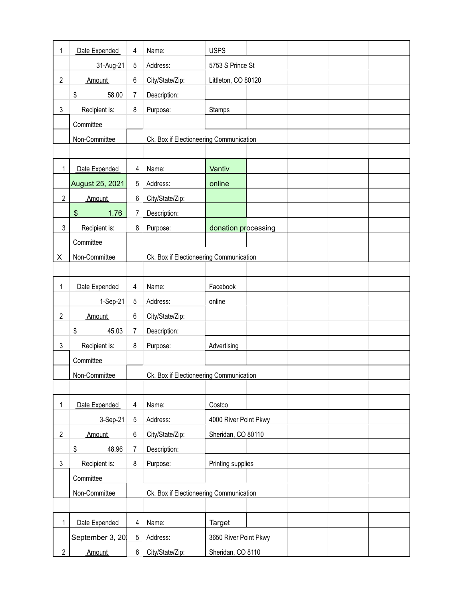| 1              | Date Expended         | 4              | Name:                                   | <b>USPS</b>           |  |  |  |
|----------------|-----------------------|----------------|-----------------------------------------|-----------------------|--|--|--|
|                | 31-Aug-21             | 5              | Address:                                | 5753 S Prince St      |  |  |  |
| $\overline{2}$ | Amount                | 6              | City/State/Zip:                         | Littleton, CO 80120   |  |  |  |
|                | \$<br>58.00           | 7              | Description:                            |                       |  |  |  |
| 3              | Recipient is:         | 8              | Purpose:                                | Stamps                |  |  |  |
|                | Committee             |                |                                         |                       |  |  |  |
|                | Non-Committee         |                | Ck. Box if Electioneering Communication |                       |  |  |  |
|                |                       |                |                                         |                       |  |  |  |
| 1              | Date Expended         | 4              | Name:                                   | Vantiv                |  |  |  |
|                | August 25, 2021       | 5              | Address:                                | online                |  |  |  |
| $\overline{2}$ | Amount                | 6              | City/State/Zip:                         |                       |  |  |  |
|                | $\frac{1}{2}$<br>1.76 | $\overline{7}$ | Description:                            |                       |  |  |  |
| $\mathsf 3$    | Recipient is:         | 8              | Purpose:                                | donation processing   |  |  |  |
|                | Committee             |                |                                         |                       |  |  |  |
| X              | Non-Committee         |                | Ck. Box if Electioneering Communication |                       |  |  |  |
|                |                       |                |                                         |                       |  |  |  |
| 1              | Date Expended         | 4              | Name:                                   | Facebook              |  |  |  |
|                | 1-Sep-21              | 5              | Address:                                | online                |  |  |  |
| $\overline{2}$ | Amount                | 6              | City/State/Zip:                         |                       |  |  |  |
|                | \$<br>45.03           | 7              | Description:                            |                       |  |  |  |
| 3              | Recipient is:         | 8              | Purpose:                                | Advertising           |  |  |  |
|                | Committee             |                |                                         |                       |  |  |  |
|                | Non-Committee         |                | Ck. Box if Electioneering Communication |                       |  |  |  |
|                |                       |                |                                         |                       |  |  |  |
| 1              | Date Expended         | 4              | Name:                                   | Costco                |  |  |  |
|                | 3-Sep-21              | 5              | Address:                                | 4000 River Point Pkwy |  |  |  |
| $\overline{2}$ | Amount                | 6              | City/State/Zip:                         | Sheridan, CO 80110    |  |  |  |
|                | \$<br>48.96           | 7              | Description:                            |                       |  |  |  |
| 3              | Recipient is:         | 8              | Purpose:                                | Printing supplies     |  |  |  |
|                | Committee             |                |                                         |                       |  |  |  |
|                | Non-Committee         |                | Ck. Box if Electioneering Communication |                       |  |  |  |
|                |                       |                |                                         |                       |  |  |  |
| 1              | Date Expended         | 4              | Name:                                   | Target                |  |  |  |
|                | September 3, 20.      | 5              | Address:                                | 3650 River Point Pkwy |  |  |  |
| $\mathbf{2}$   | Amount                | 6              | City/State/Zip:                         | Sheridan, CO 8110     |  |  |  |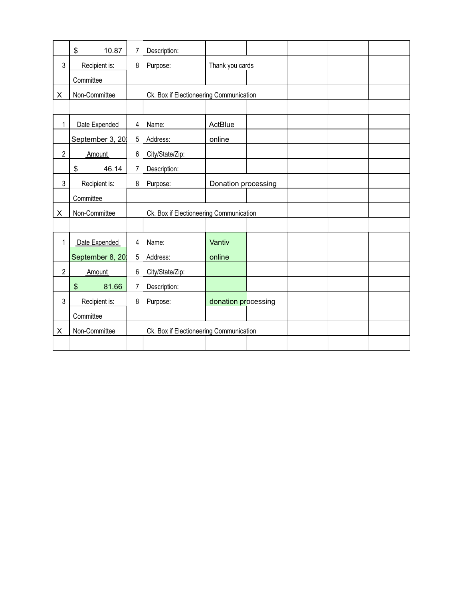|                | \$<br>10.87      | 7              | Description:                            |                                         |  |  |  |
|----------------|------------------|----------------|-----------------------------------------|-----------------------------------------|--|--|--|
| 3              | Recipient is:    | 8              | Purpose:                                | Thank you cards                         |  |  |  |
|                | Committee        |                |                                         |                                         |  |  |  |
| X              | Non-Committee    |                | Ck. Box if Electioneering Communication |                                         |  |  |  |
|                |                  |                |                                         |                                         |  |  |  |
| 1              | Date Expended    | 4              | Name:                                   | ActBlue                                 |  |  |  |
|                | September 3, 20. | 5              | Address:                                | online                                  |  |  |  |
| $\overline{2}$ | Amount           | 6              | City/State/Zip:                         |                                         |  |  |  |
|                | \$<br>46.14      | $\overline{7}$ | Description:                            |                                         |  |  |  |
| 3              | Recipient is:    | 8              | Purpose:                                | Donation processing                     |  |  |  |
|                | Committee        |                |                                         |                                         |  |  |  |
| X              | Non-Committee    |                |                                         | Ck. Box if Electioneering Communication |  |  |  |
|                |                  |                |                                         |                                         |  |  |  |
| 1              | Date Expended    | $\overline{4}$ | Name:                                   | Vantiv                                  |  |  |  |
|                | September 8, 20  | 5              | Address:                                | online                                  |  |  |  |
| $\overline{2}$ | <b>Amount</b>    | 6              | City/State/Zip:                         |                                         |  |  |  |
|                | \$<br>81.66      | 7              | Description:                            |                                         |  |  |  |
| 3              | Recipient is:    | 8              | Purpose:                                | donation processing                     |  |  |  |
|                | Committee        |                |                                         |                                         |  |  |  |
| X              | Non-Committee    |                | Ck. Box if Electioneering Communication |                                         |  |  |  |
|                |                  |                |                                         |                                         |  |  |  |